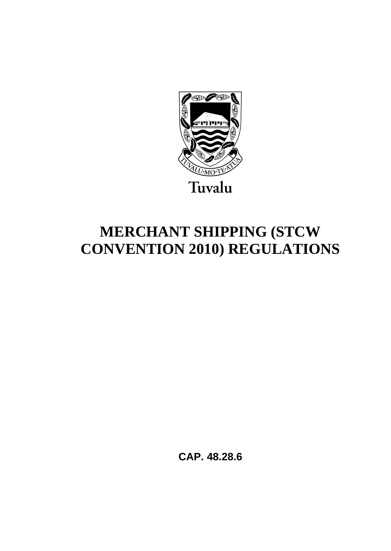

# **MERCHANT SHIPPING (STCW CONVENTION 2010) REGULATIONS**

**CAP. 48.28.6**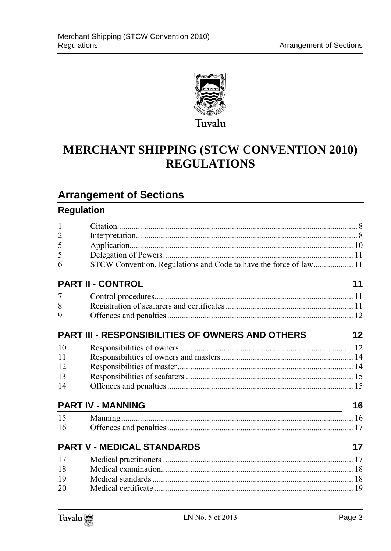

# **MERCHANT SHIPPING (STCW CONVENTION 2010) REGULATIONS**

# **Arrangement of Sections**

### **Regulation**

| 1              |                                                                   |    |
|----------------|-------------------------------------------------------------------|----|
| $\overline{2}$ |                                                                   |    |
| 5              |                                                                   |    |
| 5              |                                                                   |    |
| 6              | STCW Convention, Regulations and Code to have the force of law 11 |    |
|                | <b>PART II - CONTROL</b>                                          | 11 |
| 7              |                                                                   |    |
| 8              |                                                                   |    |
| 9              |                                                                   |    |
|                | PART III - RESPONSIBILITIES OF OWNERS AND OTHERS                  | 12 |
| 10             |                                                                   |    |
| 11             |                                                                   |    |
| 12             |                                                                   |    |
| 13             |                                                                   |    |
| 14             |                                                                   |    |
|                | <b>PART IV - MANNING</b>                                          | 16 |
| 15             |                                                                   |    |
| 16             |                                                                   |    |
|                | <b>PART V - MEDICAL STANDARDS</b>                                 | 17 |
| 17             |                                                                   |    |
| 18             |                                                                   |    |
| 19             |                                                                   |    |
| 20             |                                                                   |    |

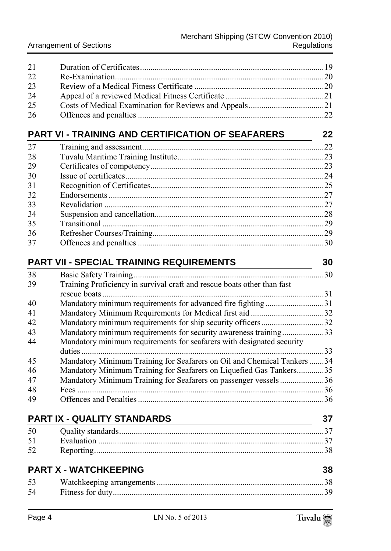| 21 |  |
|----|--|
| 22 |  |
| 23 |  |
| 24 |  |
| 25 |  |
| 26 |  |
|    |  |

# **[PART VI - TRAINING AND CERTIFICATION OF SEAFARERS](#page-18-1) 22**

| 27 |  |
|----|--|
| 28 |  |
| 29 |  |
| 30 |  |
| 31 |  |
| 32 |  |
| 33 |  |
| 34 |  |
| 35 |  |
| 36 |  |
| 37 |  |

### **[PART VII - SPECIAL TRAINING REQUIREMENTS](#page-26-1) 30**

| 38 |                                                                         | 30  |
|----|-------------------------------------------------------------------------|-----|
|    | Basic Safety Training                                                   |     |
| 39 | Training Proficiency in survival craft and rescue boats other than fast |     |
|    | rescue boats.                                                           | 31  |
| 40 | Mandatory minimum requirements for advanced fire fighting               | 31  |
| 41 |                                                                         | .32 |
| 42 |                                                                         |     |
| 43 | Mandatory minimum requirements for security awareness training33        |     |
| 44 | Mandatory minimum requirements for seafarers with designated security   |     |
|    |                                                                         | .33 |
| 45 | Mandatory Minimum Training for Seafarers on Oil and Chemical Tankers.   | 34  |
| 46 | Mandatory Minimum Training for Seafarers on Liquefied Gas Tankers       | 35  |
| 47 | Mandatory Minimum Training for Seafarers on passenger vessels36         |     |
| 48 |                                                                         | .36 |
| 49 |                                                                         | 36  |

| <b>PART IX - QUALITY STANDARDS</b> |  |  |
|------------------------------------|--|--|
| 50                                 |  |  |
| 51                                 |  |  |
| 52                                 |  |  |
|                                    |  |  |

### **[PART X - WATCHKEEPING](#page-34-1) 38** [Watchkeeping arrangements ................................................................................ 38](#page-34-2) [Fitness for duty ..................................................................................................... 39](#page-35-0)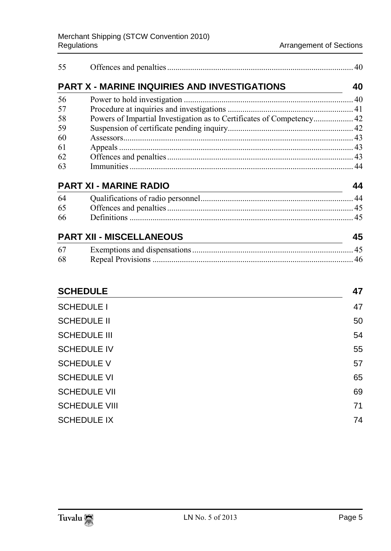| 55 |                                                                       |    |
|----|-----------------------------------------------------------------------|----|
|    | <b>PART X - MARINE INQUIRIES AND INVESTIGATIONS</b>                   | 40 |
| 56 |                                                                       |    |
| 57 |                                                                       |    |
| 58 | Powers of Impartial Investigation as to Certificates of Competency 42 |    |
| 59 |                                                                       |    |
| 60 |                                                                       |    |
| 61 |                                                                       |    |
| 62 |                                                                       |    |
| 63 |                                                                       |    |
|    | <b>PART XI - MARINE RADIO</b>                                         |    |

| 64 |  |
|----|--|
| 65 |  |
| 66 |  |
|    |  |

| <b>PART XII - MISCELLANEOUS</b> |  |  |
|---------------------------------|--|--|
| 67                              |  |  |
| -68                             |  |  |

### **[SCHEDULE](#page-43-0) 47**

| <b>SCHEDULE I</b>    | 47 |
|----------------------|----|
| <b>SCHEDULE II</b>   | 50 |
| <b>SCHEDULE III</b>  | 54 |
| <b>SCHEDULE IV</b>   | 55 |
| <b>SCHEDULE V</b>    | 57 |
| <b>SCHEDULE VI</b>   | 65 |
| <b>SCHEDULE VII</b>  | 69 |
| <b>SCHEDULE VIII</b> | 71 |
| <b>SCHEDULE IX</b>   | 74 |
|                      |    |

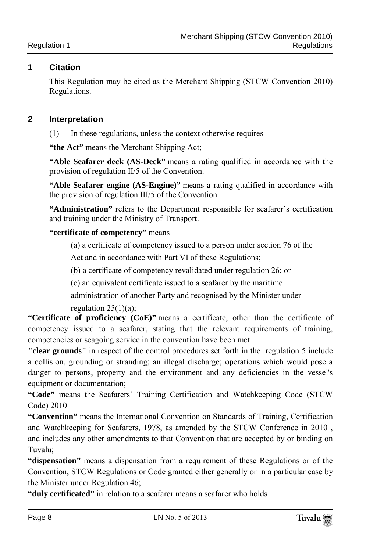### <span id="page-4-0"></span>**1 Citation**

This Regulation may be cited as the Merchant Shipping (STCW Convention 2010) Regulations.

### <span id="page-4-1"></span>**2 Interpretation**

(1) In these regulations, unless the context otherwise requires —

**"the Act"** means the Merchant Shipping Act;

**"Able Seafarer deck (AS-Deck"** means a rating qualified in accordance with the provision of regulation II/5 of the Convention.

**"Able Seafarer engine (AS-Engine)"** means a rating qualified in accordance with the provision of regulation III/5 of the Convention.

**"Administration"** refers to the Department responsible for seafarer's certification and training under the Ministry of Transport.

### **"certificate of competency"** means —

(a) a certificate of competency issued to a person under section 76 of the

Act and in accordance with Part VI of these Regulations;

(b) a certificate of competency revalidated under regulation 26; or

(c) an equivalent certificate issued to a seafarer by the maritime

administration of another Party and recognised by the Minister under regulation  $25(1)(a)$ ;

**"Certificate of proficiency (CoE)"** means a certificate, other than the certificate of competency issued to a seafarer, stating that the relevant requirements of training, competencies or seagoing service in the convention have been met

**"clear grounds"** in respect of the control procedures set forth in the regulation 5 include a collision, grounding or stranding; an illegal discharge; operations which would pose a danger to persons, property and the environment and any deficiencies in the vessel's equipment or documentation;

**"Code"** means the Seafarers' Training Certification and Watchkeeping Code (STCW Code) 2010

**"Convention"** means the International Convention on Standards of Training, Certification and Watchkeeping for Seafarers, 1978, as amended by the STCW Conference in 2010 , and includes any other amendments to that Convention that are accepted by or binding on Tuvalu;

**"dispensation"** means a dispensation from a requirement of these Regulations or of the Convention, STCW Regulations or Code granted either generally or in a particular case by the Minister under Regulation 46;

**"duly certificated"** in relation to a seafarer means a seafarer who holds —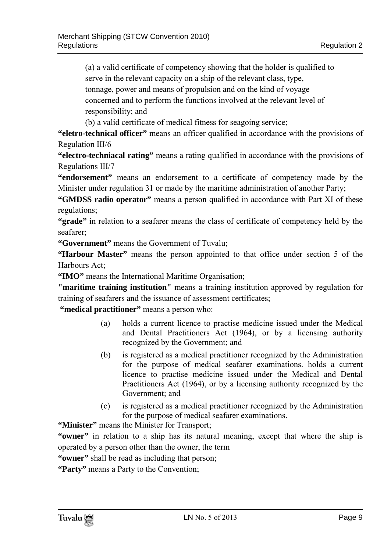(a) a valid certificate of competency showing that the holder is qualified to serve in the relevant capacity on a ship of the relevant class, type, tonnage, power and means of propulsion and on the kind of voyage concerned and to perform the functions involved at the relevant level of

responsibility; and

(b) a valid certificate of medical fitness for seagoing service;

**"eletro-technical officer"** means an officer qualified in accordance with the provisions of Regulation III/6

**"electro-techniacal rating"** means a rating qualified in accordance with the provisions of Regulations III/7

**"endorsement"** means an endorsement to a certificate of competency made by the Minister under regulation 31 or made by the maritime administration of another Party;

**"GMDSS radio operator"** means a person qualified in accordance with Part XI of these regulations;

**"grade"** in relation to a seafarer means the class of certificate of competency held by the seafarer;

**"Government"** means the Government of Tuvalu;

**"Harbour Master"** means the person appointed to that office under section 5 of the Harbours Act;

**"IMO"** means the International Maritime Organisation;

**"maritime training institution"** means a training institution approved by regulation for training of seafarers and the issuance of assessment certificates;

**"medical practitioner"** means a person who:

- (a) holds a current licence to practise medicine issued under the Medical and Dental Practitioners Act (1964), or by a licensing authority recognized by the Government; and
- (b) is registered as a medical practitioner recognized by the Administration for the purpose of medical seafarer examinations. holds a current licence to practise medicine issued under the Medical and Dental Practitioners Act (1964), or by a licensing authority recognized by the Government; and
- (c) is registered as a medical practitioner recognized by the Administration for the purpose of medical seafarer examinations.

**"Minister"** means the Minister for Transport;

**"owner"** in relation to a ship has its natural meaning, except that where the ship is operated by a person other than the owner, the term

**"owner"** shall be read as including that person;

**"Party"** means a Party to the Convention;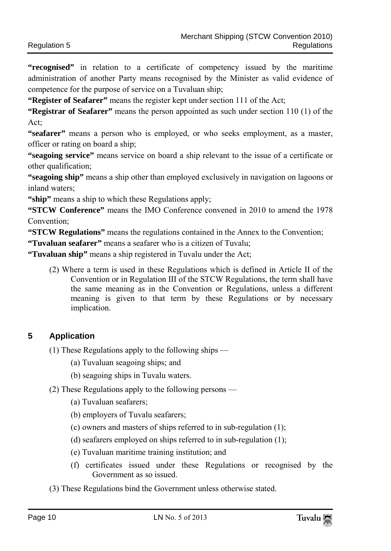**"recognised"** in relation to a certificate of competency issued by the maritime administration of another Party means recognised by the Minister as valid evidence of competence for the purpose of service on a Tuvaluan ship;

**"Register of Seafarer"** means the register kept under section 111 of the Act;

**"Registrar of Seafarer"** means the person appointed as such under section 110 (1) of the Act;

**"seafarer"** means a person who is employed, or who seeks employment, as a master, officer or rating on board a ship;

**"seagoing service"** means service on board a ship relevant to the issue of a certificate or other qualification;

**"seagoing ship"** means a ship other than employed exclusively in navigation on lagoons or inland waters;

**"ship"** means a ship to which these Regulations apply;

**"STCW Conference"** means the IMO Conference convened in 2010 to amend the 1978 Convention;

**"STCW Regulations"** means the regulations contained in the Annex to the Convention;

**"Tuvaluan seafarer"** means a seafarer who is a citizen of Tuvalu;

**"Tuvaluan ship"** means a ship registered in Tuvalu under the Act;

(2) Where a term is used in these Regulations which is defined in Article II of the Convention or in Regulation III of the STCW Regulations, the term shall have the same meaning as in the Convention or Regulations, unless a different meaning is given to that term by these Regulations or by necessary implication.

### <span id="page-6-0"></span>**5 Application**

- (1) These Regulations apply to the following ships
	- (a) Tuvaluan seagoing ships; and
	- (b) seagoing ships in Tuvalu waters.
- (2) These Regulations apply to the following persons
	- (a) Tuvaluan seafarers;
	- (b) employers of Tuvalu seafarers;
	- (c) owners and masters of ships referred to in sub-regulation (1);
	- (d) seafarers employed on ships referred to in sub-regulation (1);
	- (e) Tuvaluan maritime training institution; and
	- (f) certificates issued under these Regulations or recognised by the Government as so issued.
- (3) These Regulations bind the Government unless otherwise stated.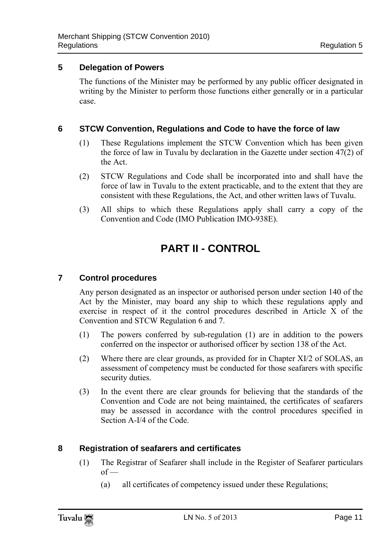### <span id="page-7-0"></span>**5 Delegation of Powers**

The functions of the Minister may be performed by any public officer designated in writing by the Minister to perform those functions either generally or in a particular case.

### <span id="page-7-1"></span>**6 STCW Convention, Regulations and Code to have the force of law**

- (1) These Regulations implement the STCW Convention which has been given the force of law in Tuvalu by declaration in the Gazette under section 47(2) of the Act.
- (2) STCW Regulations and Code shall be incorporated into and shall have the force of law in Tuvalu to the extent practicable, and to the extent that they are consistent with these Regulations, the Act, and other written laws of Tuvalu.
- <span id="page-7-2"></span>(3) All ships to which these Regulations apply shall carry a copy of the Convention and Code (IMO Publication IMO-938E).

# **PART II - CONTROL**

### <span id="page-7-3"></span>**7 Control procedures**

Any person designated as an inspector or authorised person under section 140 of the Act by the Minister, may board any ship to which these regulations apply and exercise in respect of it the control procedures described in Article X of the Convention and STCW Regulation 6 and 7.

- (1) The powers conferred by sub-regulation (1) are in addition to the powers conferred on the inspector or authorised officer by section 138 of the Act.
- (2) Where there are clear grounds, as provided for in Chapter XI/2 of SOLAS, an assessment of competency must be conducted for those seafarers with specific security duties.
- (3) In the event there are clear grounds for believing that the standards of the Convention and Code are not being maintained, the certificates of seafarers may be assessed in accordance with the control procedures specified in Section A-I/4 of the Code.

### <span id="page-7-4"></span>**8 Registration of seafarers and certificates**

- (1) The Registrar of Seafarer shall include in the Register of Seafarer particulars  $of -$ 
	- (a) all certificates of competency issued under these Regulations;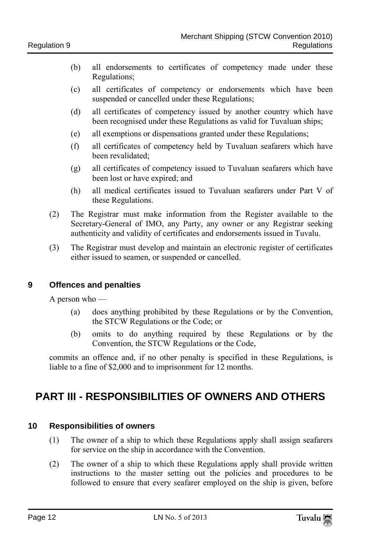- (b) all endorsements to certificates of competency made under these Regulations;
- (c) all certificates of competency or endorsements which have been suspended or cancelled under these Regulations;
- (d) all certificates of competency issued by another country which have been recognised under these Regulations as valid for Tuvaluan ships;
- (e) all exemptions or dispensations granted under these Regulations;
- (f) all certificates of competency held by Tuvaluan seafarers which have been revalidated;
- (g) all certificates of competency issued to Tuvaluan seafarers which have been lost or have expired; and
- (h) all medical certificates issued to Tuvaluan seafarers under Part V of these Regulations.
- (2) The Registrar must make information from the Register available to the Secretary-General of IMO, any Party, any owner or any Registrar seeking authenticity and validity of certificates and endorsements issued in Tuvalu.
- (3) The Registrar must develop and maintain an electronic register of certificates either issued to seamen, or suspended or cancelled.

### <span id="page-8-0"></span>**9 Offences and penalties**

A person who —

- (a) does anything prohibited by these Regulations or by the Convention, the STCW Regulations or the Code; or
- (b) omits to do anything required by these Regulations or by the Convention, the STCW Regulations or the Code,

commits an offence and, if no other penalty is specified in these Regulations, is liable to a fine of \$2,000 and to imprisonment for 12 months.

# <span id="page-8-1"></span>**PART III - RESPONSIBILITIES OF OWNERS AND OTHERS**

### <span id="page-8-2"></span>**10 Responsibilities of owners**

- (1) The owner of a ship to which these Regulations apply shall assign seafarers for service on the ship in accordance with the Convention.
- (2) The owner of a ship to which these Regulations apply shall provide written instructions to the master setting out the policies and procedures to be followed to ensure that every seafarer employed on the ship is given, before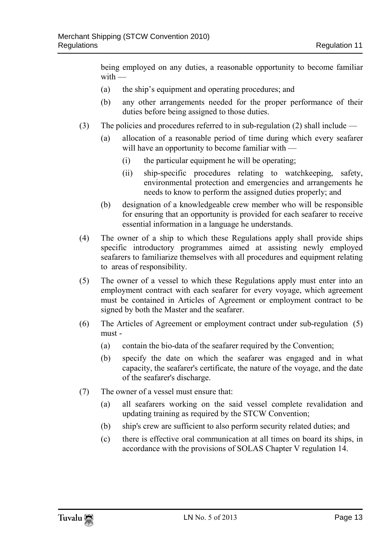being employed on any duties, a reasonable opportunity to become familiar  $with$  —

- (a) the ship's equipment and operating procedures; and
- (b) any other arrangements needed for the proper performance of their duties before being assigned to those duties.
- (3) The policies and procedures referred to in sub-regulation (2) shall include
	- (a) allocation of a reasonable period of time during which every seafarer will have an opportunity to become familiar with —
		- (i) the particular equipment he will be operating;
		- (ii) ship-specific procedures relating to watchkeeping, safety, environmental protection and emergencies and arrangements he needs to know to perform the assigned duties properly; and
	- (b) designation of a knowledgeable crew member who will be responsible for ensuring that an opportunity is provided for each seafarer to receive essential information in a language he understands.
- (4) The owner of a ship to which these Regulations apply shall provide ships specific introductory programmes aimed at assisting newly employed seafarers to familiarize themselves with all procedures and equipment relating to areas of responsibility.
- (5) The owner of a vessel to which these Regulations apply must enter into an employment contract with each seafarer for every voyage, which agreement must be contained in Articles of Agreement or employment contract to be signed by both the Master and the seafarer.
- (6) The Articles of Agreement or employment contract under sub-regulation (5) must -
	- (a) contain the bio-data of the seafarer required by the Convention;
	- (b) specify the date on which the seafarer was engaged and in what capacity, the seafarer's certificate, the nature of the voyage, and the date of the seafarer's discharge.
- (7) The owner of a vessel must ensure that:
	- (a) all seafarers working on the said vessel complete revalidation and updating training as required by the STCW Convention;
	- (b) ship's crew are sufficient to also perform security related duties; and
	- (c) there is effective oral communication at all times on board its ships, in accordance with the provisions of SOLAS Chapter V regulation 14.

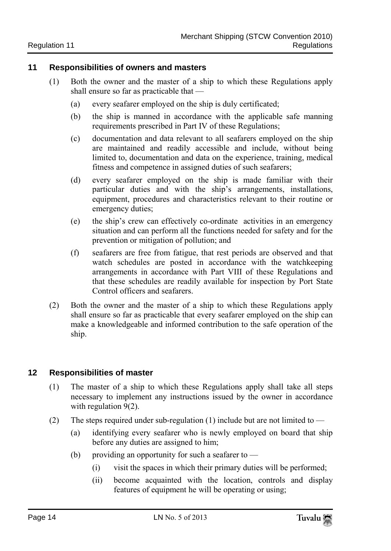#### <span id="page-10-0"></span>**11 Responsibilities of owners and masters**

- (1) Both the owner and the master of a ship to which these Regulations apply shall ensure so far as practicable that —
	- (a) every seafarer employed on the ship is duly certificated;
	- (b) the ship is manned in accordance with the applicable safe manning requirements prescribed in Part IV of these Regulations;
	- (c) documentation and data relevant to all seafarers employed on the ship are maintained and readily accessible and include, without being limited to, documentation and data on the experience, training, medical fitness and competence in assigned duties of such seafarers;
	- (d) every seafarer employed on the ship is made familiar with their particular duties and with the ship's arrangements, installations, equipment, procedures and characteristics relevant to their routine or emergency duties;
	- (e) the ship's crew can effectively co-ordinate activities in an emergency situation and can perform all the functions needed for safety and for the prevention or mitigation of pollution; and
	- (f) seafarers are free from fatigue, that rest periods are observed and that watch schedules are posted in accordance with the watchkeeping arrangements in accordance with Part VIII of these Regulations and that these schedules are readily available for inspection by Port State Control officers and seafarers.
- (2) Both the owner and the master of a ship to which these Regulations apply shall ensure so far as practicable that every seafarer employed on the ship can make a knowledgeable and informed contribution to the safe operation of the ship.

### <span id="page-10-1"></span>**12 Responsibilities of master**

- (1) The master of a ship to which these Regulations apply shall take all steps necessary to implement any instructions issued by the owner in accordance with regulation 9(2).
- (2) The steps required under sub-regulation (1) include but are not limited to  $-$ 
	- (a) identifying every seafarer who is newly employed on board that ship before any duties are assigned to him;
	- (b) providing an opportunity for such a seafarer to  $-$ 
		- (i) visit the spaces in which their primary duties will be performed;
		- (ii) become acquainted with the location, controls and display features of equipment he will be operating or using;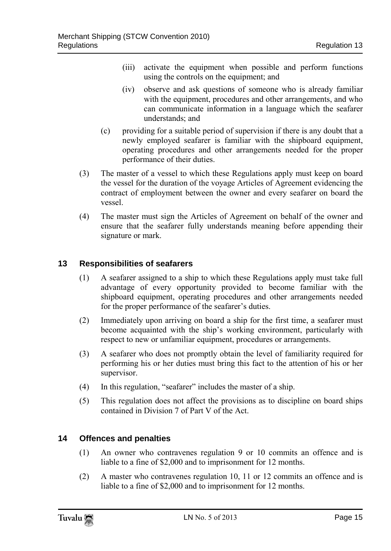- (iii) activate the equipment when possible and perform functions using the controls on the equipment; and
- (iv) observe and ask questions of someone who is already familiar with the equipment, procedures and other arrangements, and who can communicate information in a language which the seafarer understands; and
- (c) providing for a suitable period of supervision if there is any doubt that a newly employed seafarer is familiar with the shipboard equipment, operating procedures and other arrangements needed for the proper performance of their duties.
- (3) The master of a vessel to which these Regulations apply must keep on board the vessel for the duration of the voyage Articles of Agreement evidencing the contract of employment between the owner and every seafarer on board the vessel.
- (4) The master must sign the Articles of Agreement on behalf of the owner and ensure that the seafarer fully understands meaning before appending their signature or mark.

### <span id="page-11-0"></span>**13 Responsibilities of seafarers**

- (1) A seafarer assigned to a ship to which these Regulations apply must take full advantage of every opportunity provided to become familiar with the shipboard equipment, operating procedures and other arrangements needed for the proper performance of the seafarer's duties.
- (2) Immediately upon arriving on board a ship for the first time, a seafarer must become acquainted with the ship's working environment, particularly with respect to new or unfamiliar equipment, procedures or arrangements.
- (3) A seafarer who does not promptly obtain the level of familiarity required for performing his or her duties must bring this fact to the attention of his or her supervisor.
- (4) In this regulation, "seafarer" includes the master of a ship.
- (5) This regulation does not affect the provisions as to discipline on board ships contained in Division 7 of Part V of the Act.

### <span id="page-11-1"></span>**14 Offences and penalties**

- (1) An owner who contravenes regulation 9 or 10 commits an offence and is liable to a fine of \$2,000 and to imprisonment for 12 months.
- (2) A master who contravenes regulation 10, 11 or 12 commits an offence and is liable to a fine of \$2,000 and to imprisonment for 12 months.

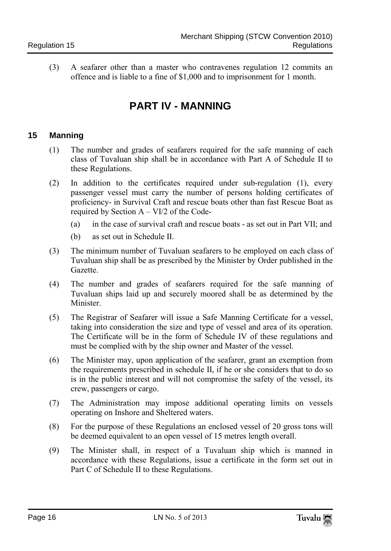<span id="page-12-0"></span>(3) A seafarer other than a master who contravenes regulation 12 commits an offence and is liable to a fine of \$1,000 and to imprisonment for 1 month.

# **PART IV - MANNING**

### <span id="page-12-1"></span>**15 Manning**

- (1) The number and grades of seafarers required for the safe manning of each class of Tuvaluan ship shall be in accordance with Part A of Schedule II to these Regulations.
- (2) In addition to the certificates required under sub-regulation (1), every passenger vessel must carry the number of persons holding certificates of proficiency- in Survival Craft and rescue boats other than fast Rescue Boat as required by Section  $A - VI/2$  of the Code-
	- (a) in the case of survival craft and rescue boats as set out in Part VII; and
	- (b) as set out in Schedule II.
- (3) The minimum number of Tuvaluan seafarers to be employed on each class of Tuvaluan ship shall be as prescribed by the Minister by Order published in the Gazette.
- (4) The number and grades of seafarers required for the safe manning of Tuvaluan ships laid up and securely moored shall be as determined by the Minister.
- (5) The Registrar of Seafarer will issue a Safe Manning Certificate for a vessel, taking into consideration the size and type of vessel and area of its operation. The Certificate will be in the form of Schedule IV of these regulations and must be complied with by the ship owner and Master of the vessel.
- (6) The Minister may, upon application of the seafarer, grant an exemption from the requirements prescribed in schedule II, if he or she considers that to do so is in the public interest and will not compromise the safety of the vessel, its crew, passengers or cargo.
- (7) The Administration may impose additional operating limits on vessels operating on Inshore and Sheltered waters.
- (8) For the purpose of these Regulations an enclosed vessel of 20 gross tons will be deemed equivalent to an open vessel of 15 metres length overall.
- (9) The Minister shall, in respect of a Tuvaluan ship which is manned in accordance with these Regulations, issue a certificate in the form set out in Part C of Schedule II to these Regulations.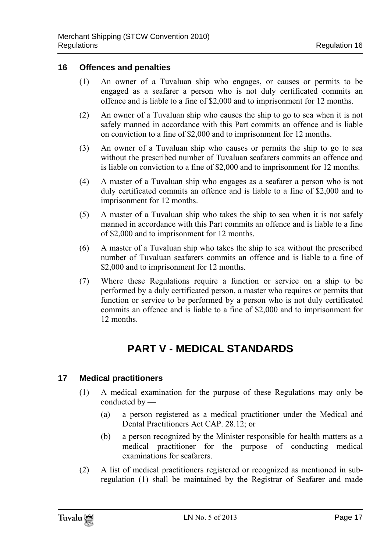### <span id="page-13-0"></span>**16 Offences and penalties**

- (1) An owner of a Tuvaluan ship who engages, or causes or permits to be engaged as a seafarer a person who is not duly certificated commits an offence and is liable to a fine of \$2,000 and to imprisonment for 12 months.
- (2) An owner of a Tuvaluan ship who causes the ship to go to sea when it is not safely manned in accordance with this Part commits an offence and is liable on conviction to a fine of \$2,000 and to imprisonment for 12 months.
- (3) An owner of a Tuvaluan ship who causes or permits the ship to go to sea without the prescribed number of Tuvaluan seafarers commits an offence and is liable on conviction to a fine of \$2,000 and to imprisonment for 12 months.
- (4) A master of a Tuvaluan ship who engages as a seafarer a person who is not duly certificated commits an offence and is liable to a fine of \$2,000 and to imprisonment for 12 months.
- (5) A master of a Tuvaluan ship who takes the ship to sea when it is not safely manned in accordance with this Part commits an offence and is liable to a fine of \$2,000 and to imprisonment for 12 months.
- (6) A master of a Tuvaluan ship who takes the ship to sea without the prescribed number of Tuvaluan seafarers commits an offence and is liable to a fine of \$2,000 and to imprisonment for 12 months.
- (7) Where these Regulations require a function or service on a ship to be performed by a duly certificated person, a master who requires or permits that function or service to be performed by a person who is not duly certificated commits an offence and is liable to a fine of \$2,000 and to imprisonment for 12 months.

# **PART V - MEDICAL STANDARDS**

### <span id="page-13-2"></span><span id="page-13-1"></span>**17 Medical practitioners**

- (1) A medical examination for the purpose of these Regulations may only be conducted by —
	- (a) a person registered as a medical practitioner under the Medical and Dental Practitioners Act CAP. 28.12; or
	- (b) a person recognized by the Minister responsible for health matters as a medical practitioner for the purpose of conducting medical examinations for seafarers.
- (2) A list of medical practitioners registered or recognized as mentioned in subregulation (1) shall be maintained by the Registrar of Seafarer and made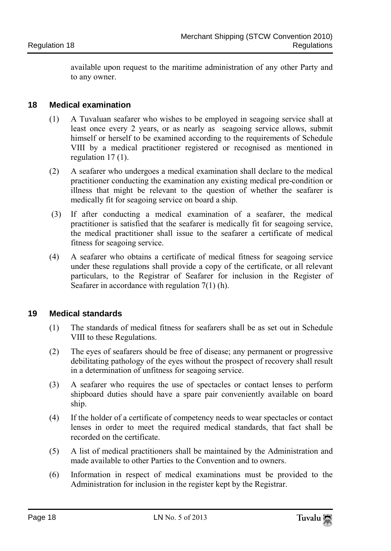available upon request to the maritime administration of any other Party and to any owner.

### <span id="page-14-0"></span>**18 Medical examination**

- (1) A Tuvaluan seafarer who wishes to be employed in seagoing service shall at least once every 2 years, or as nearly as seagoing service allows, submit himself or herself to be examined according to the requirements of Schedule VIII by a medical practitioner registered or recognised as mentioned in regulation 17 (1).
- (2) A seafarer who undergoes a medical examination shall declare to the medical practitioner conducting the examination any existing medical pre-condition or illness that might be relevant to the question of whether the seafarer is medically fit for seagoing service on board a ship.
- (3) If after conducting a medical examination of a seafarer, the medical practitioner is satisfied that the seafarer is medically fit for seagoing service, the medical practitioner shall issue to the seafarer a certificate of medical fitness for seagoing service.
- (4) A seafarer who obtains a certificate of medical fitness for seagoing service under these regulations shall provide a copy of the certificate, or all relevant particulars, to the Registrar of Seafarer for inclusion in the Register of Seafarer in accordance with regulation 7(1) (h).

### <span id="page-14-1"></span>**19 Medical standards**

- (1) The standards of medical fitness for seafarers shall be as set out in Schedule VIII to these Regulations.
- (2) The eyes of seafarers should be free of disease; any permanent or progressive debilitating pathology of the eyes without the prospect of recovery shall result in a determination of unfitness for seagoing service.
- (3) A seafarer who requires the use of spectacles or contact lenses to perform shipboard duties should have a spare pair conveniently available on board ship.
- (4) If the holder of a certificate of competency needs to wear spectacles or contact lenses in order to meet the required medical standards, that fact shall be recorded on the certificate.
- (5) A list of medical practitioners shall be maintained by the Administration and made available to other Parties to the Convention and to owners.
- (6) Information in respect of medical examinations must be provided to the Administration for inclusion in the register kept by the Registrar.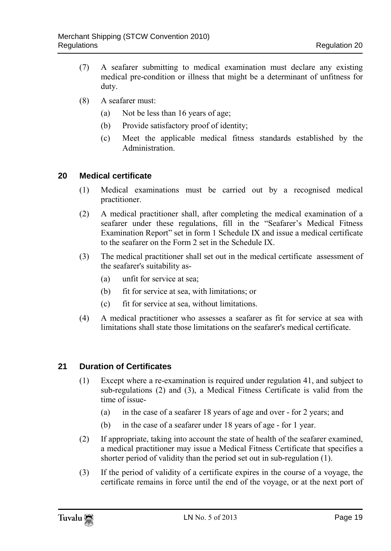- (7) A seafarer submitting to medical examination must declare any existing medical pre-condition or illness that might be a determinant of unfitness for duty.
- (8) A seafarer must:
	- (a) Not be less than 16 years of age;
	- (b) Provide satisfactory proof of identity;
	- (c) Meet the applicable medical fitness standards established by the Administration.

### <span id="page-15-0"></span>**20 Medical certificate**

- (1) Medical examinations must be carried out by a recognised medical practitioner.
- (2) A medical practitioner shall, after completing the medical examination of a seafarer under these regulations, fill in the "Seafarer's Medical Fitness Examination Report" set in form 1 Schedule IX and issue a medical certificate to the seafarer on the Form 2 set in the Schedule IX.
- (3) The medical practitioner shall set out in the medical certificate assessment of the seafarer's suitability as-
	- (a) unfit for service at sea;
	- (b) fit for service at sea, with limitations; or
	- (c) fit for service at sea, without limitations.
- (4) A medical practitioner who assesses a seafarer as fit for service at sea with limitations shall state those limitations on the seafarer's medical certificate.

### <span id="page-15-1"></span>**21 Duration of Certificates**

- (1) Except where a re-examination is required under regulation 41, and subject to sub-regulations (2) and (3), a Medical Fitness Certificate is valid from the time of issue-
	- (a) in the case of a seafarer 18 years of age and over for 2 years; and
	- (b) in the case of a seafarer under 18 years of age for 1 year.
- (2) If appropriate, taking into account the state of health of the seafarer examined, a medical practitioner may issue a Medical Fitness Certificate that specifies a shorter period of validity than the period set out in sub-regulation (1).
- (3) If the period of validity of a certificate expires in the course of a voyage, the certificate remains in force until the end of the voyage, or at the next port of

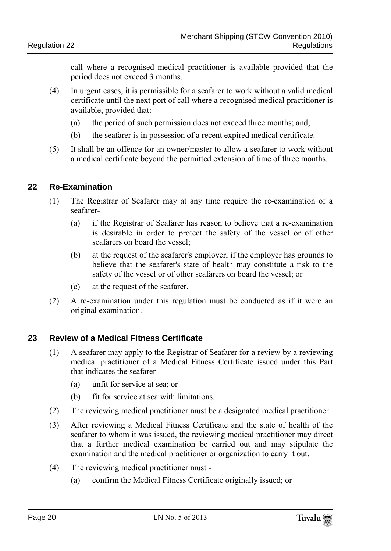call where a recognised medical practitioner is available provided that the period does not exceed 3 months.

- (4) In urgent cases, it is permissible for a seafarer to work without a valid medical certificate until the next port of call where a recognised medical practitioner is available, provided that:
	- (a) the period of such permission does not exceed three months; and,
	- (b) the seafarer is in possession of a recent expired medical certificate.
- (5) It shall be an offence for an owner/master to allow a seafarer to work without a medical certificate beyond the permitted extension of time of three months.

### <span id="page-16-0"></span>**22 Re-Examination**

- (1) The Registrar of Seafarer may at any time require the re-examination of a seafarer-
	- (a) if the Registrar of Seafarer has reason to believe that a re-examination is desirable in order to protect the safety of the vessel or of other seafarers on board the vessel;
	- (b) at the request of the seafarer's employer, if the employer has grounds to believe that the seafarer's state of health may constitute a risk to the safety of the vessel or of other seafarers on board the vessel; or
	- (c) at the request of the seafarer.
- (2) A re-examination under this regulation must be conducted as if it were an original examination.

### <span id="page-16-1"></span>**23 Review of a Medical Fitness Certificate**

- (1) A seafarer may apply to the Registrar of Seafarer for a review by a reviewing medical practitioner of a Medical Fitness Certificate issued under this Part that indicates the seafarer-
	- (a) unfit for service at sea; or
	- (b) fit for service at sea with limitations.
- (2) The reviewing medical practitioner must be a designated medical practitioner.
- (3) After reviewing a Medical Fitness Certificate and the state of health of the seafarer to whom it was issued, the reviewing medical practitioner may direct that a further medical examination be carried out and may stipulate the examination and the medical practitioner or organization to carry it out.
- (4) The reviewing medical practitioner must
	- (a) confirm the Medical Fitness Certificate originally issued; or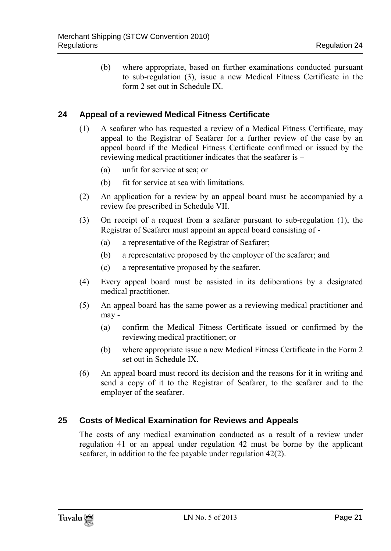(b) where appropriate, based on further examinations conducted pursuant to sub-regulation (3), issue a new Medical Fitness Certificate in the form 2 set out in Schedule IX.

### <span id="page-17-0"></span>**24 Appeal of a reviewed Medical Fitness Certificate**

- (1) A seafarer who has requested a review of a Medical Fitness Certificate, may appeal to the Registrar of Seafarer for a further review of the case by an appeal board if the Medical Fitness Certificate confirmed or issued by the reviewing medical practitioner indicates that the seafarer is –
	- (a) unfit for service at sea; or
	- (b) fit for service at sea with limitations.
- (2) An application for a review by an appeal board must be accompanied by a review fee prescribed in Schedule VII.
- (3) On receipt of a request from a seafarer pursuant to sub-regulation (1), the Registrar of Seafarer must appoint an appeal board consisting of -
	- (a) a representative of the Registrar of Seafarer;
	- (b) a representative proposed by the employer of the seafarer; and
	- (c) a representative proposed by the seafarer.
- (4) Every appeal board must be assisted in its deliberations by a designated medical practitioner.
- (5) An appeal board has the same power as a reviewing medical practitioner and may -
	- (a) confirm the Medical Fitness Certificate issued or confirmed by the reviewing medical practitioner; or
	- (b) where appropriate issue a new Medical Fitness Certificate in the Form 2 set out in Schedule IX.
- (6) An appeal board must record its decision and the reasons for it in writing and send a copy of it to the Registrar of Seafarer, to the seafarer and to the employer of the seafarer.

### <span id="page-17-1"></span>**25 Costs of Medical Examination for Reviews and Appeals**

The costs of any medical examination conducted as a result of a review under regulation 41 or an appeal under regulation 42 must be borne by the applicant seafarer, in addition to the fee payable under regulation 42(2).

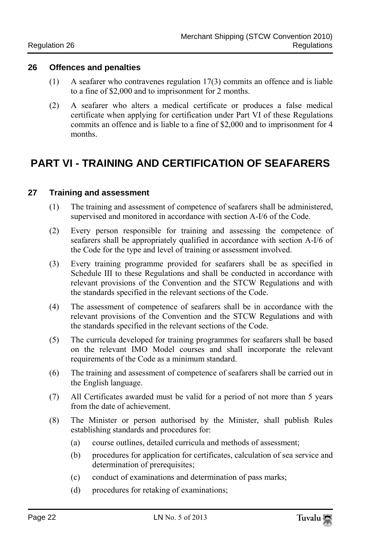#### <span id="page-18-0"></span>**26 Offences and penalties**

- (1) A seafarer who contravenes regulation 17(3) commits an offence and is liable to a fine of \$2,000 and to imprisonment for 2 months.
- (2) A seafarer who alters a medical certificate or produces a false medical certificate when applying for certification under Part VI of these Regulations commits an offence and is liable to a fine of \$2,000 and to imprisonment for 4 months.

### <span id="page-18-1"></span>**PART VI - TRAINING AND CERTIFICATION OF SEAFARERS**

### <span id="page-18-2"></span>**27 Training and assessment**

- (1) The training and assessment of competence of seafarers shall be administered, supervised and monitored in accordance with section A-I/6 of the Code.
- (2) Every person responsible for training and assessing the competence of seafarers shall be appropriately qualified in accordance with section A-I/6 of the Code for the type and level of training or assessment involved.
- (3) Every training programme provided for seafarers shall be as specified in Schedule III to these Regulations and shall be conducted in accordance with relevant provisions of the Convention and the STCW Regulations and with the standards specified in the relevant sections of the Code.
- (4) The assessment of competence of seafarers shall be in accordance with the relevant provisions of the Convention and the STCW Regulations and with the standards specified in the relevant sections of the Code.
- (5) The curricula developed for training programmes for seafarers shall be based on the relevant IMO Model courses and shall incorporate the relevant requirements of the Code as a minimum standard.
- (6) The training and assessment of competence of seafarers shall be carried out in the English language.
- (7) All Certificates awarded must be valid for a period of not more than 5 years from the date of achievement.
- (8) The Minister or person authorised by the Minister, shall publish Rules establishing standards and procedures for:
	- (a) course outlines, detailed curricula and methods of assessment;
	- (b) procedures for application for certificates, calculation of sea service and determination of prerequisites;
	- (c) conduct of examinations and determination of pass marks;
	- (d) procedures for retaking of examinations;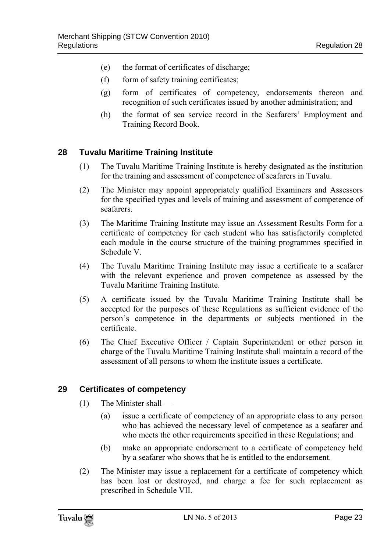- (e) the format of certificates of discharge;
- (f) form of safety training certificates;
- (g) form of certificates of competency, endorsements thereon and recognition of such certificates issued by another administration; and
- (h) the format of sea service record in the Seafarers' Employment and Training Record Book.

### <span id="page-19-0"></span>**28 Tuvalu Maritime Training Institute**

- (1) The Tuvalu Maritime Training Institute is hereby designated as the institution for the training and assessment of competence of seafarers in Tuvalu.
- (2) The Minister may appoint appropriately qualified Examiners and Assessors for the specified types and levels of training and assessment of competence of seafarers.
- (3) The Maritime Training Institute may issue an Assessment Results Form for a certificate of competency for each student who has satisfactorily completed each module in the course structure of the training programmes specified in Schedule V.
- (4) The Tuvalu Maritime Training Institute may issue a certificate to a seafarer with the relevant experience and proven competence as assessed by the Tuvalu Maritime Training Institute.
- (5) A certificate issued by the Tuvalu Maritime Training Institute shall be accepted for the purposes of these Regulations as sufficient evidence of the person's competence in the departments or subjects mentioned in the certificate.
- (6) The Chief Executive Officer / Captain Superintendent or other person in charge of the Tuvalu Maritime Training Institute shall maintain a record of the assessment of all persons to whom the institute issues a certificate.

### <span id="page-19-1"></span>**29 Certificates of competency**

- (1) The Minister shall
	- (a) issue a certificate of competency of an appropriate class to any person who has achieved the necessary level of competence as a seafarer and who meets the other requirements specified in these Regulations; and
	- (b) make an appropriate endorsement to a certificate of competency held by a seafarer who shows that he is entitled to the endorsement.
- (2) The Minister may issue a replacement for a certificate of competency which has been lost or destroyed, and charge a fee for such replacement as prescribed in Schedule VII.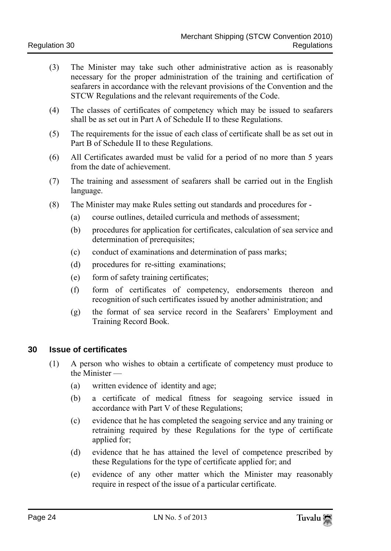- (3) The Minister may take such other administrative action as is reasonably necessary for the proper administration of the training and certification of seafarers in accordance with the relevant provisions of the Convention and the STCW Regulations and the relevant requirements of the Code.
- (4) The classes of certificates of competency which may be issued to seafarers shall be as set out in Part A of Schedule II to these Regulations.
- (5) The requirements for the issue of each class of certificate shall be as set out in Part B of Schedule II to these Regulations.
- (6) All Certificates awarded must be valid for a period of no more than 5 years from the date of achievement.
- (7) The training and assessment of seafarers shall be carried out in the English language.
- (8) The Minister may make Rules setting out standards and procedures for
	- (a) course outlines, detailed curricula and methods of assessment;
	- (b) procedures for application for certificates, calculation of sea service and determination of prerequisites;
	- (c) conduct of examinations and determination of pass marks;
	- (d) procedures for re-sitting examinations;
	- (e) form of safety training certificates;
	- (f) form of certificates of competency, endorsements thereon and recognition of such certificates issued by another administration; and
	- (g) the format of sea service record in the Seafarers' Employment and Training Record Book.

### <span id="page-20-0"></span>**30 Issue of certificates**

- (1) A person who wishes to obtain a certificate of competency must produce to the Minister —
	- (a) written evidence of identity and age;
	- (b) a certificate of medical fitness for seagoing service issued in accordance with Part V of these Regulations;
	- (c) evidence that he has completed the seagoing service and any training or retraining required by these Regulations for the type of certificate applied for;
	- (d) evidence that he has attained the level of competence prescribed by these Regulations for the type of certificate applied for; and
	- (e) evidence of any other matter which the Minister may reasonably require in respect of the issue of a particular certificate.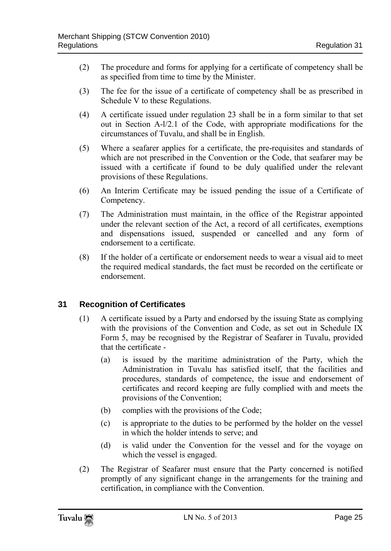- (2) The procedure and forms for applying for a certificate of competency shall be as specified from time to time by the Minister.
- (3) The fee for the issue of a certificate of competency shall be as prescribed in Schedule V to these Regulations.
- (4) A certificate issued under regulation 23 shall be in a form similar to that set out in Section A-l/2.1 of the Code, with appropriate modifications for the circumstances of Tuvalu, and shall be in English.
- (5) Where a seafarer applies for a certificate, the pre-requisites and standards of which are not prescribed in the Convention or the Code, that seafarer may be issued with a certificate if found to be duly qualified under the relevant provisions of these Regulations.
- (6) An Interim Certificate may be issued pending the issue of a Certificate of Competency.
- (7) The Administration must maintain, in the office of the Registrar appointed under the relevant section of the Act, a record of all certificates, exemptions and dispensations issued, suspended or cancelled and any form of endorsement to a certificate.
- (8) If the holder of a certificate or endorsement needs to wear a visual aid to meet the required medical standards, the fact must be recorded on the certificate or endorsement.

### <span id="page-21-0"></span>**31 Recognition of Certificates**

- (1) A certificate issued by a Party and endorsed by the issuing State as complying with the provisions of the Convention and Code, as set out in Schedule IX Form 5, may be recognised by the Registrar of Seafarer in Tuvalu, provided that the certificate -
	- (a) is issued by the maritime administration of the Party, which the Administration in Tuvalu has satisfied itself, that the facilities and procedures, standards of competence, the issue and endorsement of certificates and record keeping are fully complied with and meets the provisions of the Convention;
	- (b) complies with the provisions of the Code;
	- (c) is appropriate to the duties to be performed by the holder on the vessel in which the holder intends to serve; and
	- (d) is valid under the Convention for the vessel and for the voyage on which the vessel is engaged.
- (2) The Registrar of Seafarer must ensure that the Party concerned is notified promptly of any significant change in the arrangements for the training and certification, in compliance with the Convention.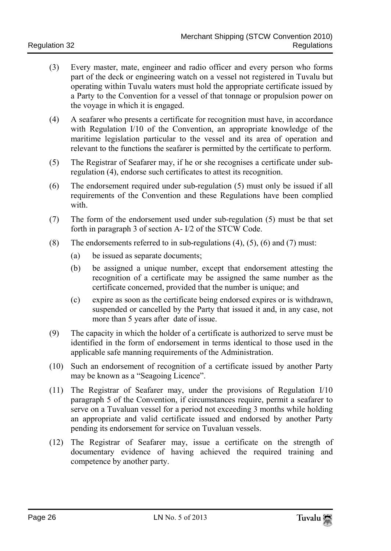- (3) Every master, mate, engineer and radio officer and every person who forms part of the deck or engineering watch on a vessel not registered in Tuvalu but operating within Tuvalu waters must hold the appropriate certificate issued by a Party to the Convention for a vessel of that tonnage or propulsion power on the voyage in which it is engaged.
- (4) A seafarer who presents a certificate for recognition must have, in accordance with Regulation I/10 of the Convention, an appropriate knowledge of the maritime legislation particular to the vessel and its area of operation and relevant to the functions the seafarer is permitted by the certificate to perform.
- (5) The Registrar of Seafarer may, if he or she recognises a certificate under subregulation (4), endorse such certificates to attest its recognition.
- (6) The endorsement required under sub-regulation (5) must only be issued if all requirements of the Convention and these Regulations have been complied with.
- (7) The form of the endorsement used under sub-regulation (5) must be that set forth in paragraph 3 of section A- I/2 of the STCW Code.
- (8) The endorsements referred to in sub-regulations  $(4)$ ,  $(5)$ ,  $(6)$  and  $(7)$  must:
	- (a) be issued as separate documents;
	- (b) be assigned a unique number, except that endorsement attesting the recognition of a certificate may be assigned the same number as the certificate concerned, provided that the number is unique; and
	- (c) expire as soon as the certificate being endorsed expires or is withdrawn, suspended or cancelled by the Party that issued it and, in any case, not more than 5 years after date of issue.
- (9) The capacity in which the holder of a certificate is authorized to serve must be identified in the form of endorsement in terms identical to those used in the applicable safe manning requirements of the Administration.
- (10) Such an endorsement of recognition of a certificate issued by another Party may be known as a "Seagoing Licence".
- (11) The Registrar of Seafarer may, under the provisions of Regulation I/10 paragraph 5 of the Convention, if circumstances require, permit a seafarer to serve on a Tuvaluan vessel for a period not exceeding 3 months while holding an appropriate and valid certificate issued and endorsed by another Party pending its endorsement for service on Tuvaluan vessels.
- (12) The Registrar of Seafarer may, issue a certificate on the strength of documentary evidence of having achieved the required training and competence by another party.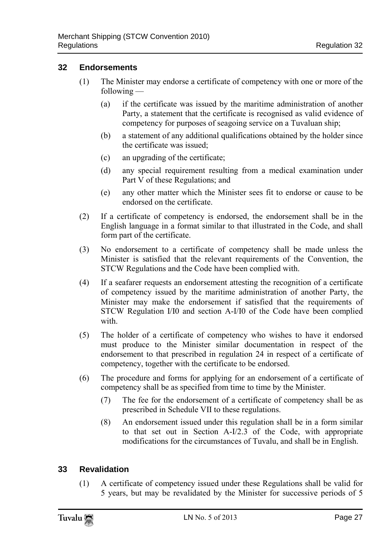### <span id="page-23-0"></span>**32 Endorsements**

- (1) The Minister may endorse a certificate of competency with one or more of the following —
	- (a) if the certificate was issued by the maritime administration of another Party, a statement that the certificate is recognised as valid evidence of competency for purposes of seagoing service on a Tuvaluan ship;
	- (b) a statement of any additional qualifications obtained by the holder since the certificate was issued;
	- (c) an upgrading of the certificate;
	- (d) any special requirement resulting from a medical examination under Part V of these Regulations; and
	- (e) any other matter which the Minister sees fit to endorse or cause to be endorsed on the certificate.
- (2) If a certificate of competency is endorsed, the endorsement shall be in the English language in a format similar to that illustrated in the Code, and shall form part of the certificate.
- (3) No endorsement to a certificate of competency shall be made unless the Minister is satisfied that the relevant requirements of the Convention, the STCW Regulations and the Code have been complied with.
- (4) If a seafarer requests an endorsement attesting the recognition of a certificate of competency issued by the maritime administration of another Party, the Minister may make the endorsement if satisfied that the requirements of STCW Regulation I/I0 and section A-I/I0 of the Code have been complied with.
- (5) The holder of a certificate of competency who wishes to have it endorsed must produce to the Minister similar documentation in respect of the endorsement to that prescribed in regulation 24 in respect of a certificate of competency, together with the certificate to be endorsed.
- (6) The procedure and forms for applying for an endorsement of a certificate of competency shall be as specified from time to time by the Minister.
	- (7) The fee for the endorsement of a certificate of competency shall be as prescribed in Schedule VII to these regulations.
	- (8) An endorsement issued under this regulation shall be in a form similar to that set out in Section A-I/2.3 of the Code, with appropriate modifications for the circumstances of Tuvalu, and shall be in English.

### <span id="page-23-1"></span>**33 Revalidation**

(1) A certificate of competency issued under these Regulations shall be valid for 5 years, but may be revalidated by the Minister for successive periods of 5

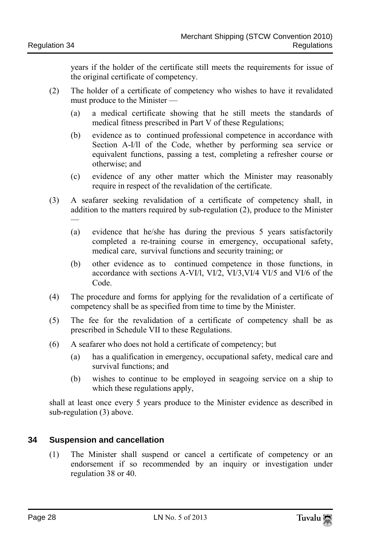years if the holder of the certificate still meets the requirements for issue of the original certificate of competency.

- (2) The holder of a certificate of competency who wishes to have it revalidated must produce to the Minister —
	- (a) a medical certificate showing that he still meets the standards of medical fitness prescribed in Part V of these Regulations;
	- (b) evidence as to continued professional competence in accordance with Section A-I/ll of the Code, whether by performing sea service or equivalent functions, passing a test, completing a refresher course or otherwise; and
	- (c) evidence of any other matter which the Minister may reasonably require in respect of the revalidation of the certificate.
- (3) A seafarer seeking revalidation of a certificate of competency shall, in addition to the matters required by sub-regulation (2), produce to the Minister —
	- (a) evidence that he/she has during the previous 5 years satisfactorily completed a re-training course in emergency, occupational safety, medical care, survival functions and security training; or
	- (b) other evidence as to continued competence in those functions, in accordance with sections A-VI/l, VI/2, VI/3,VI/4 VI/5 and VI/6 of the Code.
- (4) The procedure and forms for applying for the revalidation of a certificate of competency shall be as specified from time to time by the Minister.
- (5) The fee for the revalidation of a certificate of competency shall be as prescribed in Schedule VII to these Regulations.
- (6) A seafarer who does not hold a certificate of competency; but
	- (a) has a qualification in emergency, occupational safety, medical care and survival functions; and
	- (b) wishes to continue to be employed in seagoing service on a ship to which these regulations apply,

shall at least once every 5 years produce to the Minister evidence as described in sub-regulation (3) above.

### <span id="page-24-0"></span>**34 Suspension and cancellation**

(1) The Minister shall suspend or cancel a certificate of competency or an endorsement if so recommended by an inquiry or investigation under regulation 38 or 40.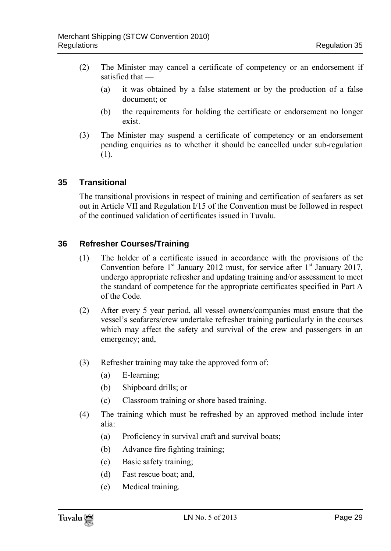- (2) The Minister may cancel a certificate of competency or an endorsement if satisfied that —
	- (a) it was obtained by a false statement or by the production of a false document; or
	- (b) the requirements for holding the certificate or endorsement no longer exist.
- (3) The Minister may suspend a certificate of competency or an endorsement pending enquiries as to whether it should be cancelled under sub-regulation (1).

### <span id="page-25-0"></span>**35 Transitional**

The transitional provisions in respect of training and certification of seafarers as set out in Article VII and Regulation I/15 of the Convention must be followed in respect of the continued validation of certificates issued in Tuvalu.

### <span id="page-25-1"></span>**36 Refresher Courses/Training**

- (1) The holder of a certificate issued in accordance with the provisions of the Convention before  $1<sup>st</sup>$  January 2012 must, for service after  $1<sup>st</sup>$  January 2017, undergo appropriate refresher and updating training and/or assessment to meet the standard of competence for the appropriate certificates specified in Part A of the Code.
- (2) After every 5 year period, all vessel owners/companies must ensure that the vessel's seafarers/crew undertake refresher training particularly in the courses which may affect the safety and survival of the crew and passengers in an emergency; and,
- (3) Refresher training may take the approved form of:
	- (a) E-learning;
	- (b) Shipboard drills; or
	- (c) Classroom training or shore based training.
- (4) The training which must be refreshed by an approved method include inter alia:
	- (a) Proficiency in survival craft and survival boats;
	- (b) Advance fire fighting training;
	- (c) Basic safety training;
	- (d) Fast rescue boat; and,
	- (e) Medical training.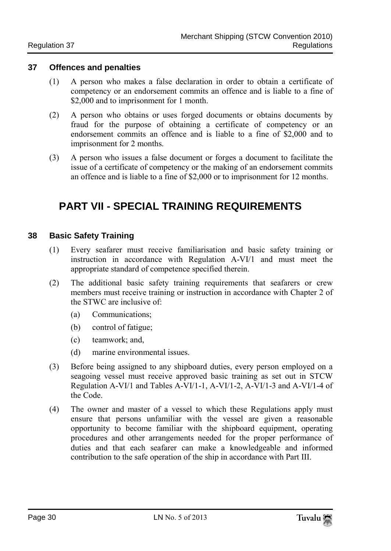#### <span id="page-26-0"></span>**37 Offences and penalties**

- (1) A person who makes a false declaration in order to obtain a certificate of competency or an endorsement commits an offence and is liable to a fine of \$2,000 and to imprisonment for 1 month.
- (2) A person who obtains or uses forged documents or obtains documents by fraud for the purpose of obtaining a certificate of competency or an endorsement commits an offence and is liable to a fine of \$2,000 and to imprisonment for 2 months.
- <span id="page-26-1"></span>(3) A person who issues a false document or forges a document to facilitate the issue of a certificate of competency or the making of an endorsement commits an offence and is liable to a fine of \$2,000 or to imprisonment for 12 months.

### **PART VII - SPECIAL TRAINING REQUIREMENTS**

### <span id="page-26-2"></span>**38 Basic Safety Training**

- (1) Every seafarer must receive familiarisation and basic safety training or instruction in accordance with Regulation A-VI/1 and must meet the appropriate standard of competence specified therein.
- (2) The additional basic safety training requirements that seafarers or crew members must receive training or instruction in accordance with Chapter 2 of the STWC are inclusive of:
	- (a) Communications;
	- (b) control of fatigue;
	- (c) teamwork; and,
	- (d) marine environmental issues.
- (3) Before being assigned to any shipboard duties, every person employed on a seagoing vessel must receive approved basic training as set out in STCW Regulation A-VI/1 and Tables A-VI/1-1, A-VI/1-2, A-VI/1-3 and A-VI/1-4 of the Code.
- (4) The owner and master of a vessel to which these Regulations apply must ensure that persons unfamiliar with the vessel are given a reasonable opportunity to become familiar with the shipboard equipment, operating procedures and other arrangements needed for the proper performance of duties and that each seafarer can make a knowledgeable and informed contribution to the safe operation of the ship in accordance with Part III.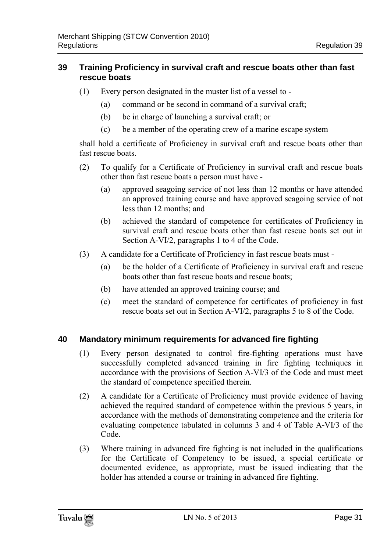### <span id="page-27-0"></span>**39 Training Proficiency in survival craft and rescue boats other than fast rescue boats**

- (1) Every person designated in the muster list of a vessel to
	- (a) command or be second in command of a survival craft;
	- (b) be in charge of launching a survival craft; or
	- (c) be a member of the operating crew of a marine escape system

shall hold a certificate of Proficiency in survival craft and rescue boats other than fast rescue boats.

- (2) To qualify for a Certificate of Proficiency in survival craft and rescue boats other than fast rescue boats a person must have -
	- (a) approved seagoing service of not less than 12 months or have attended an approved training course and have approved seagoing service of not less than 12 months; and
	- (b) achieved the standard of competence for certificates of Proficiency in survival craft and rescue boats other than fast rescue boats set out in Section A-VI/2, paragraphs 1 to 4 of the Code.
- (3) A candidate for a Certificate of Proficiency in fast rescue boats must
	- (a) be the holder of a Certificate of Proficiency in survival craft and rescue boats other than fast rescue boats and rescue boats;
	- (b) have attended an approved training course; and
	- (c) meet the standard of competence for certificates of proficiency in fast rescue boats set out in Section A-VI/2, paragraphs 5 to 8 of the Code.

### <span id="page-27-1"></span>**40 Mandatory minimum requirements for advanced fire fighting**

- (1) Every person designated to control fire-fighting operations must have successfully completed advanced training in fire fighting techniques in accordance with the provisions of Section A-VI/3 of the Code and must meet the standard of competence specified therein.
- (2) A candidate for a Certificate of Proficiency must provide evidence of having achieved the required standard of competence within the previous 5 years, in accordance with the methods of demonstrating competence and the criteria for evaluating competence tabulated in columns 3 and 4 of Table A-VI/3 of the Code.
- (3) Where training in advanced fire fighting is not included in the qualifications for the Certificate of Competency to be issued, a special certificate or documented evidence, as appropriate, must be issued indicating that the holder has attended a course or training in advanced fire fighting.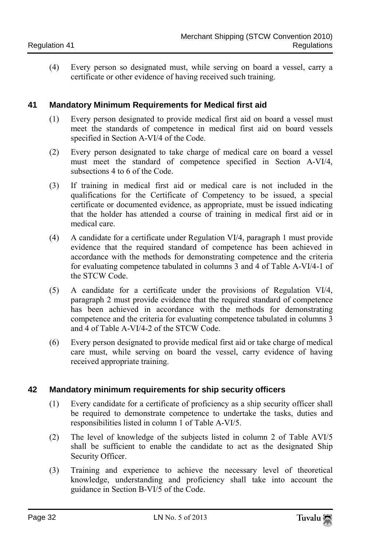(4) Every person so designated must, while serving on board a vessel, carry a certificate or other evidence of having received such training.

### <span id="page-28-0"></span>**41 Mandatory Minimum Requirements for Medical first aid**

- (1) Every person designated to provide medical first aid on board a vessel must meet the standards of competence in medical first aid on board vessels specified in Section A-VI/4 of the Code.
- (2) Every person designated to take charge of medical care on board a vessel must meet the standard of competence specified in Section A-VI/4, subsections 4 to 6 of the Code.
- (3) If training in medical first aid or medical care is not included in the qualifications for the Certificate of Competency to be issued, a special certificate or documented evidence, as appropriate, must be issued indicating that the holder has attended a course of training in medical first aid or in medical care.
- (4) A candidate for a certificate under Regulation VI/4, paragraph 1 must provide evidence that the required standard of competence has been achieved in accordance with the methods for demonstrating competence and the criteria for evaluating competence tabulated in columns 3 and 4 of Table A-VI/4-1 of the STCW Code.
- (5) A candidate for a certificate under the provisions of Regulation VI/4, paragraph 2 must provide evidence that the required standard of competence has been achieved in accordance with the methods for demonstrating competence and the criteria for evaluating competence tabulated in columns 3 and 4 of Table A-VI/4-2 of the STCW Code.
- (6) Every person designated to provide medical first aid or take charge of medical care must, while serving on board the vessel, carry evidence of having received appropriate training.

### <span id="page-28-1"></span>**42 Mandatory minimum requirements for ship security officers**

- (1) Every candidate for a certificate of proficiency as a ship security officer shall be required to demonstrate competence to undertake the tasks, duties and responsibilities listed in column 1 of Table A-VI/5.
- (2) The level of knowledge of the subjects listed in column 2 of Table AVI/5 shall be sufficient to enable the candidate to act as the designated Ship Security Officer.
- (3) Training and experience to achieve the necessary level of theoretical knowledge, understanding and proficiency shall take into account the guidance in Section B-VI/5 of the Code.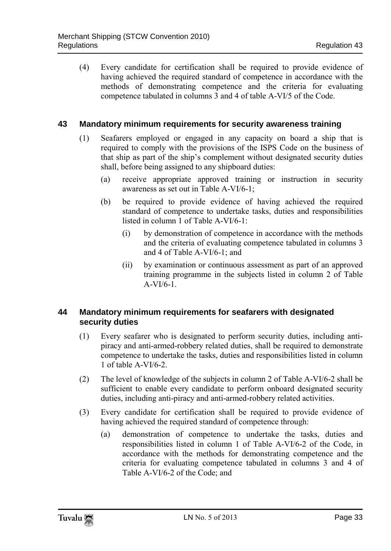(4) Every candidate for certification shall be required to provide evidence of having achieved the required standard of competence in accordance with the methods of demonstrating competence and the criteria for evaluating competence tabulated in columns 3 and 4 of table A-VI/5 of the Code.

#### <span id="page-29-0"></span>**43 Mandatory minimum requirements for security awareness training**

- (1) Seafarers employed or engaged in any capacity on board a ship that is required to comply with the provisions of the ISPS Code on the business of that ship as part of the ship's complement without designated security duties shall, before being assigned to any shipboard duties:
	- (a) receive appropriate approved training or instruction in security awareness as set out in Table A-VI/6-1;
	- (b) be required to provide evidence of having achieved the required standard of competence to undertake tasks, duties and responsibilities listed in column 1 of Table A-VI/6-1:
		- (i) by demonstration of competence in accordance with the methods and the criteria of evaluating competence tabulated in columns 3 and 4 of Table A-VI/6-1; and
		- (ii) by examination or continuous assessment as part of an approved training programme in the subjects listed in column 2 of Table  $A-VI/6-1$ .

### <span id="page-29-1"></span>**44 Mandatory minimum requirements for seafarers with designated security duties**

- (1) Every seafarer who is designated to perform security duties, including antipiracy and anti-armed-robbery related duties, shall be required to demonstrate competence to undertake the tasks, duties and responsibilities listed in column 1 of table A-VI/6-2.
- (2) The level of knowledge of the subjects in column 2 of Table A-VI/6-2 shall be sufficient to enable every candidate to perform onboard designated security duties, including anti-piracy and anti-armed-robbery related activities.
- (3) Every candidate for certification shall be required to provide evidence of having achieved the required standard of competence through:
	- (a) demonstration of competence to undertake the tasks, duties and responsibilities listed in column 1 of Table A-VI/6-2 of the Code, in accordance with the methods for demonstrating competence and the criteria for evaluating competence tabulated in columns 3 and 4 of Table A-VI/6-2 of the Code; and

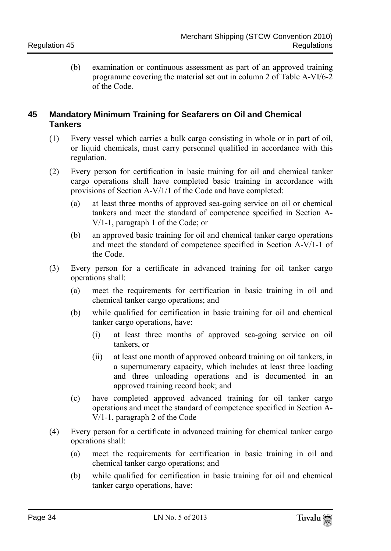(b) examination or continuous assessment as part of an approved training programme covering the material set out in column 2 of Table A-VI/6-2 of the Code.

### <span id="page-30-0"></span>**45 Mandatory Minimum Training for Seafarers on Oil and Chemical Tankers**

- (1) Every vessel which carries a bulk cargo consisting in whole or in part of oil, or liquid chemicals, must carry personnel qualified in accordance with this regulation.
- (2) Every person for certification in basic training for oil and chemical tanker cargo operations shall have completed basic training in accordance with provisions of Section A-V/1/1 of the Code and have completed:
	- (a) at least three months of approved sea-going service on oil or chemical tankers and meet the standard of competence specified in Section A-V/1-1, paragraph 1 of the Code; or
	- (b) an approved basic training for oil and chemical tanker cargo operations and meet the standard of competence specified in Section A-V/1-1 of the Code.
- (3) Every person for a certificate in advanced training for oil tanker cargo operations shall:
	- (a) meet the requirements for certification in basic training in oil and chemical tanker cargo operations; and
	- (b) while qualified for certification in basic training for oil and chemical tanker cargo operations, have:
		- (i) at least three months of approved sea-going service on oil tankers, or
		- (ii) at least one month of approved onboard training on oil tankers, in a supernumerary capacity, which includes at least three loading and three unloading operations and is documented in an approved training record book; and
	- (c) have completed approved advanced training for oil tanker cargo operations and meet the standard of competence specified in Section A-V/1-1, paragraph 2 of the Code
- (4) Every person for a certificate in advanced training for chemical tanker cargo operations shall:
	- (a) meet the requirements for certification in basic training in oil and chemical tanker cargo operations; and
	- (b) while qualified for certification in basic training for oil and chemical tanker cargo operations, have: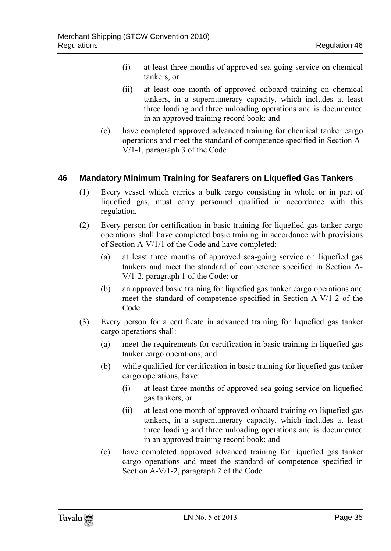- (i) at least three months of approved sea-going service on chemical tankers, or
- (ii) at least one month of approved onboard training on chemical tankers, in a supernumerary capacity, which includes at least three loading and three unloading operations and is documented in an approved training record book; and
- (c) have completed approved advanced training for chemical tanker cargo operations and meet the standard of competence specified in Section A-V/1-1, paragraph 3 of the Code

### <span id="page-31-0"></span>**46 Mandatory Minimum Training for Seafarers on Liquefied Gas Tankers**

- (1) Every vessel which carries a bulk cargo consisting in whole or in part of liquefied gas, must carry personnel qualified in accordance with this regulation.
- (2) Every person for certification in basic training for liquefied gas tanker cargo operations shall have completed basic training in accordance with provisions of Section A-V/1/1 of the Code and have completed:
	- (a) at least three months of approved sea-going service on liquefied gas tankers and meet the standard of competence specified in Section A-V/1-2, paragraph 1 of the Code; or
	- (b) an approved basic training for liquefied gas tanker cargo operations and meet the standard of competence specified in Section A-V/1-2 of the Code.
- (3) Every person for a certificate in advanced training for liquefied gas tanker cargo operations shall:
	- (a) meet the requirements for certification in basic training in liquefied gas tanker cargo operations; and
	- (b) while qualified for certification in basic training for liquefied gas tanker cargo operations, have:
		- (i) at least three months of approved sea-going service on liquefied gas tankers, or
		- (ii) at least one month of approved onboard training on liquefied gas tankers, in a supernumerary capacity, which includes at least three loading and three unloading operations and is documented in an approved training record book; and
	- (c) have completed approved advanced training for liquefied gas tanker cargo operations and meet the standard of competence specified in Section A-V/1-2, paragraph 2 of the Code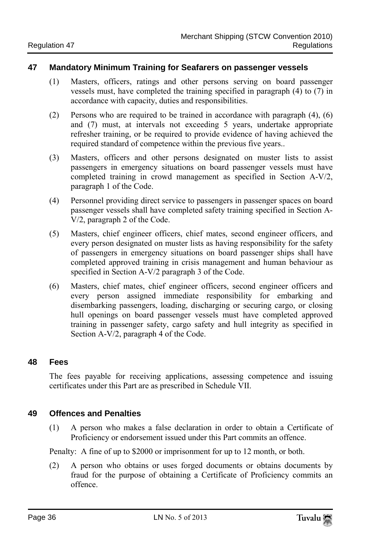### <span id="page-32-0"></span>**47 Mandatory Minimum Training for Seafarers on passenger vessels**

- (1) Masters, officers, ratings and other persons serving on board passenger vessels must, have completed the training specified in paragraph (4) to (7) in accordance with capacity, duties and responsibilities.
- (2) Persons who are required to be trained in accordance with paragraph (4), (6) and (7) must, at intervals not exceeding 5 years, undertake appropriate refresher training, or be required to provide evidence of having achieved the required standard of competence within the previous five years..
- (3) Masters, officers and other persons designated on muster lists to assist passengers in emergency situations on board passenger vessels must have completed training in crowd management as specified in Section A-V/2, paragraph 1 of the Code.
- (4) Personnel providing direct service to passengers in passenger spaces on board passenger vessels shall have completed safety training specified in Section A-V/2, paragraph 2 of the Code.
- (5) Masters, chief engineer officers, chief mates, second engineer officers, and every person designated on muster lists as having responsibility for the safety of passengers in emergency situations on board passenger ships shall have completed approved training in crisis management and human behaviour as specified in Section A-V/2 paragraph 3 of the Code.
- (6) Masters, chief mates, chief engineer officers, second engineer officers and every person assigned immediate responsibility for embarking and disembarking passengers, loading, discharging or securing cargo, or closing hull openings on board passenger vessels must have completed approved training in passenger safety, cargo safety and hull integrity as specified in Section A-V/2, paragraph 4 of the Code.

### <span id="page-32-1"></span>**48 Fees**

The fees payable for receiving applications, assessing competence and issuing certificates under this Part are as prescribed in Schedule VII.

### <span id="page-32-2"></span>**49 Offences and Penalties**

(1) A person who makes a false declaration in order to obtain a Certificate of Proficiency or endorsement issued under this Part commits an offence.

Penalty: A fine of up to \$2000 or imprisonment for up to 12 month, or both.

(2) A person who obtains or uses forged documents or obtains documents by fraud for the purpose of obtaining a Certificate of Proficiency commits an offence.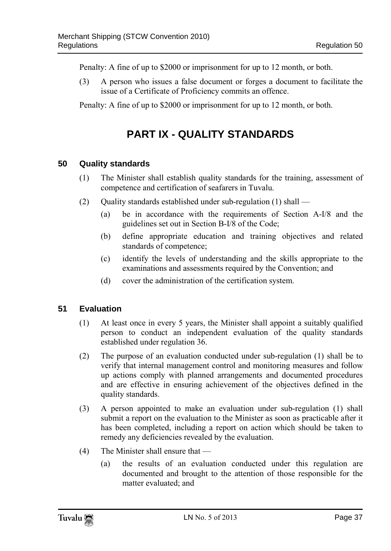Penalty: A fine of up to \$2000 or imprisonment for up to 12 month, or both.

(3) A person who issues a false document or forges a document to facilitate the issue of a Certificate of Proficiency commits an offence.

<span id="page-33-0"></span>Penalty: A fine of up to \$2000 or imprisonment for up to 12 month, or both.

# **PART IX - QUALITY STANDARDS**

### <span id="page-33-1"></span>**50 Quality standards**

- (1) The Minister shall establish quality standards for the training, assessment of competence and certification of seafarers in Tuvalu.
- (2) Ouality standards established under sub-regulation  $(1)$  shall
	- (a) be in accordance with the requirements of Section A-I/8 and the guidelines set out in Section B-I/8 of the Code;
	- (b) define appropriate education and training objectives and related standards of competence;
	- (c) identify the levels of understanding and the skills appropriate to the examinations and assessments required by the Convention; and
	- (d) cover the administration of the certification system.

### <span id="page-33-2"></span>**51 Evaluation**

- (1) At least once in every 5 years, the Minister shall appoint a suitably qualified person to conduct an independent evaluation of the quality standards established under regulation 36.
- (2) The purpose of an evaluation conducted under sub-regulation (1) shall be to verify that internal management control and monitoring measures and follow up actions comply with planned arrangements and documented procedures and are effective in ensuring achievement of the objectives defined in the quality standards.
- (3) A person appointed to make an evaluation under sub-regulation (1) shall submit a report on the evaluation to the Minister as soon as practicable after it has been completed, including a report on action which should be taken to remedy any deficiencies revealed by the evaluation.
- (4) The Minister shall ensure that
	- (a) the results of an evaluation conducted under this regulation are documented and brought to the attention of those responsible for the matter evaluated; and

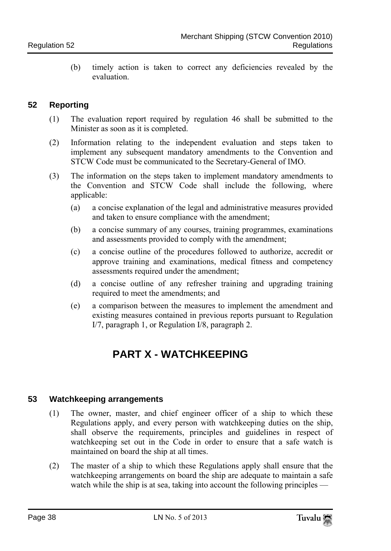(b) timely action is taken to correct any deficiencies revealed by the evaluation.

### <span id="page-34-0"></span>**52 Reporting**

- (1) The evaluation report required by regulation 46 shall be submitted to the Minister as soon as it is completed.
- (2) Information relating to the independent evaluation and steps taken to implement any subsequent mandatory amendments to the Convention and STCW Code must be communicated to the Secretary-General of IMO.
- (3) The information on the steps taken to implement mandatory amendments to the Convention and STCW Code shall include the following, where applicable:
	- (a) a concise explanation of the legal and administrative measures provided and taken to ensure compliance with the amendment;
	- (b) a concise summary of any courses, training programmes, examinations and assessments provided to comply with the amendment;
	- (c) a concise outline of the procedures followed to authorize, accredit or approve training and examinations, medical fitness and competency assessments required under the amendment;
	- (d) a concise outline of any refresher training and upgrading training required to meet the amendments; and
	- (e) a comparison between the measures to implement the amendment and existing measures contained in previous reports pursuant to Regulation I/7, paragraph 1, or Regulation I/8, paragraph 2.

# **PART X - WATCHKEEPING**

### <span id="page-34-2"></span><span id="page-34-1"></span>**53 Watchkeeping arrangements**

- (1) The owner, master, and chief engineer officer of a ship to which these Regulations apply, and every person with watchkeeping duties on the ship, shall observe the requirements, principles and guidelines in respect of watchkeeping set out in the Code in order to ensure that a safe watch is maintained on board the ship at all times.
- (2) The master of a ship to which these Regulations apply shall ensure that the watchkeeping arrangements on board the ship are adequate to maintain a safe watch while the ship is at sea, taking into account the following principles —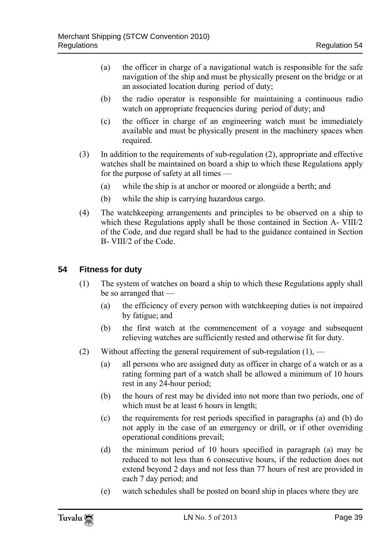- (a) the officer in charge of a navigational watch is responsible for the safe navigation of the ship and must be physically present on the bridge or at an associated location during period of duty;
- (b) the radio operator is responsible for maintaining a continuous radio watch on appropriate frequencies during period of duty; and
- (c) the officer in charge of an engineering watch must be immediately available and must be physically present in the machinery spaces when required.
- (3) In addition to the requirements of sub-regulation (2), appropriate and effective watches shall be maintained on board a ship to which these Regulations apply for the purpose of safety at all times —
	- (a) while the ship is at anchor or moored or alongside a berth; and
	- (b) while the ship is carrying hazardous cargo.
- (4) The watchkeeping arrangements and principles to be observed on a ship to which these Regulations apply shall be those contained in Section A- VIII/2 of the Code, and due regard shall be had to the guidance contained in Section B- VIII/2 of the Code.

### <span id="page-35-0"></span>**54 Fitness for duty**

- (1) The system of watches on board a ship to which these Regulations apply shall be so arranged that —
	- (a) the efficiency of every person with watchkeeping duties is not impaired by fatigue; and
	- (b) the first watch at the commencement of a voyage and subsequent relieving watches are sufficiently rested and otherwise fit for duty.
- (2) Without affecting the general requirement of sub-regulation  $(1)$ ,
	- (a) all persons who are assigned duty as officer in charge of a watch or as a rating forming part of a watch shall be allowed a minimum of 10 hours rest in any 24-hour period;
	- (b) the hours of rest may be divided into not more than two periods, one of which must be at least 6 hours in length:
	- (c) the requirements for rest periods specified in paragraphs (a) and (b) do not apply in the case of an emergency or drill, or if other overriding operational conditions prevail;
	- (d) the minimum period of 10 hours specified in paragraph (a) may be reduced to not less than 6 consecutive hours, if the reduction does not extend beyond 2 days and not less than 77 hours of rest are provided in each 7 day period; and
	- (e) watch schedules shall be posted on board ship in places where they are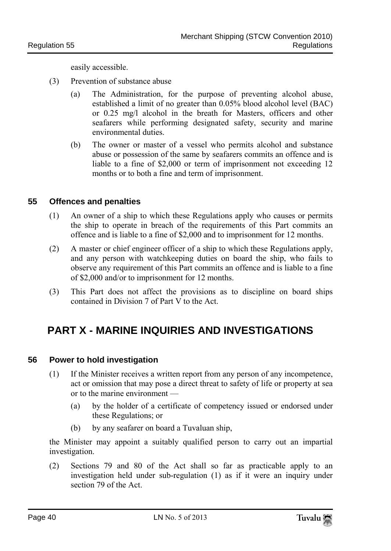easily accessible.

- (3) Prevention of substance abuse
	- (a) The Administration, for the purpose of preventing alcohol abuse, established a limit of no greater than 0.05% blood alcohol level (BAC) or 0.25 mg/l alcohol in the breath for Masters, officers and other seafarers while performing designated safety, security and marine environmental duties.
	- (b) The owner or master of a vessel who permits alcohol and substance abuse or possession of the same by seafarers commits an offence and is liable to a fine of \$2,000 or term of imprisonment not exceeding 12 months or to both a fine and term of imprisonment.

### **55 Offences and penalties**

- (1) An owner of a ship to which these Regulations apply who causes or permits the ship to operate in breach of the requirements of this Part commits an offence and is liable to a fine of \$2,000 and to imprisonment for 12 months.
- (2) A master or chief engineer officer of a ship to which these Regulations apply, and any person with watchkeeping duties on board the ship, who fails to observe any requirement of this Part commits an offence and is liable to a fine of \$2,000 and/or to imprisonment for 12 months.
- (3) This Part does not affect the provisions as to discipline on board ships contained in Division 7 of Part  $\overrightarrow{V}$  to the Act.

# **PART X - MARINE INQUIRIES AND INVESTIGATIONS**

#### **56 Power to hold investigation**

- (1) If the Minister receives a written report from any person of any incompetence, act or omission that may pose a direct threat to safety of life or property at sea or to the marine environment —
	- (a) by the holder of a certificate of competency issued or endorsed under these Regulations; or
	- (b) by any seafarer on board a Tuvaluan ship,

the Minister may appoint a suitably qualified person to carry out an impartial investigation.

(2) Sections 79 and 80 of the Act shall so far as practicable apply to an investigation held under sub-regulation (1) as if it were an inquiry under section 79 of the Act.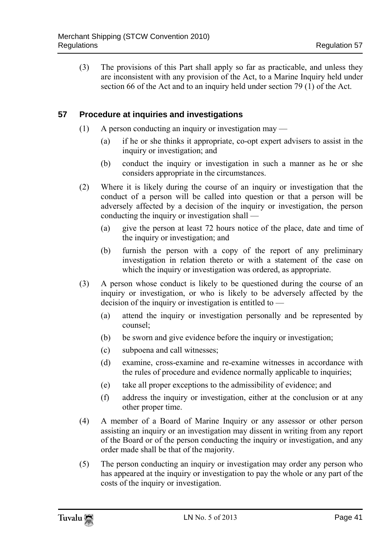(3) The provisions of this Part shall apply so far as practicable, and unless they are inconsistent with any provision of the Act, to a Marine Inquiry held under section 66 of the Act and to an inquiry held under section 79 (1) of the Act.

### **57 Procedure at inquiries and investigations**

- (1) A person conducting an inquiry or investigation may
	- (a) if he or she thinks it appropriate, co-opt expert advisers to assist in the inquiry or investigation; and
	- (b) conduct the inquiry or investigation in such a manner as he or she considers appropriate in the circumstances.
- (2) Where it is likely during the course of an inquiry or investigation that the conduct of a person will be called into question or that a person will be adversely affected by a decision of the inquiry or investigation, the person conducting the inquiry or investigation shall —
	- (a) give the person at least 72 hours notice of the place, date and time of the inquiry or investigation; and
	- (b) furnish the person with a copy of the report of any preliminary investigation in relation thereto or with a statement of the case on which the inquiry or investigation was ordered, as appropriate.
- (3) A person whose conduct is likely to be questioned during the course of an inquiry or investigation, or who is likely to be adversely affected by the decision of the inquiry or investigation is entitled to  $-$ 
	- (a) attend the inquiry or investigation personally and be represented by counsel;
	- (b) be sworn and give evidence before the inquiry or investigation;
	- (c) subpoena and call witnesses;
	- (d) examine, cross-examine and re-examine witnesses in accordance with the rules of procedure and evidence normally applicable to inquiries;
	- (e) take all proper exceptions to the admissibility of evidence; and
	- (f) address the inquiry or investigation, either at the conclusion or at any other proper time.
- (4) A member of a Board of Marine Inquiry or any assessor or other person assisting an inquiry or an investigation may dissent in writing from any report of the Board or of the person conducting the inquiry or investigation, and any order made shall be that of the majority.
- (5) The person conducting an inquiry or investigation may order any person who has appeared at the inquiry or investigation to pay the whole or any part of the costs of the inquiry or investigation.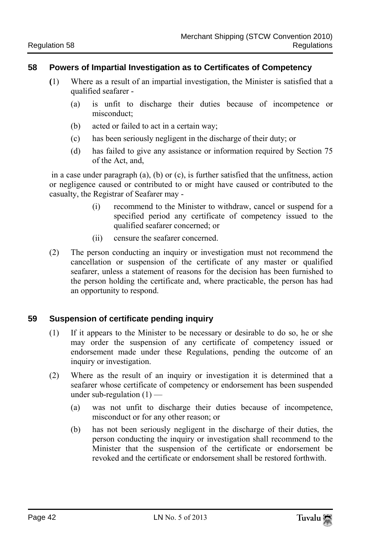#### **58 Powers of Impartial Investigation as to Certificates of Competency**

- **(**1) Where as a result of an impartial investigation, the Minister is satisfied that a qualified seafarer -
	- (a) is unfit to discharge their duties because of incompetence or misconduct;
	- (b) acted or failed to act in a certain way;
	- (c) has been seriously negligent in the discharge of their duty; or
	- (d) has failed to give any assistance or information required by Section 75 of the Act, and,

in a case under paragraph (a), (b) or (c), is further satisfied that the unfitness, action or negligence caused or contributed to or might have caused or contributed to the casualty, the Registrar of Seafarer may -

- (i) recommend to the Minister to withdraw, cancel or suspend for a specified period any certificate of competency issued to the qualified seafarer concerned; or
- (ii) censure the seafarer concerned.
- (2) The person conducting an inquiry or investigation must not recommend the cancellation or suspension of the certificate of any master or qualified seafarer, unless a statement of reasons for the decision has been furnished to the person holding the certificate and, where practicable, the person has had an opportunity to respond.

#### **59 Suspension of certificate pending inquiry**

- (1) If it appears to the Minister to be necessary or desirable to do so, he or she may order the suspension of any certificate of competency issued or endorsement made under these Regulations, pending the outcome of an inquiry or investigation.
- (2) Where as the result of an inquiry or investigation it is determined that a seafarer whose certificate of competency or endorsement has been suspended under sub-regulation  $(1)$  —
	- (a) was not unfit to discharge their duties because of incompetence, misconduct or for any other reason; or
	- (b) has not been seriously negligent in the discharge of their duties, the person conducting the inquiry or investigation shall recommend to the Minister that the suspension of the certificate or endorsement be revoked and the certificate or endorsement shall be restored forthwith.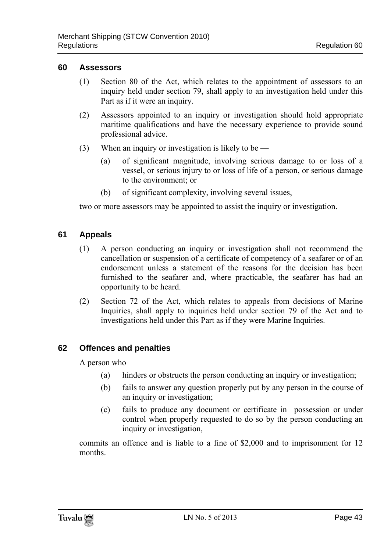#### **60 Assessors**

- (1) Section 80 of the Act, which relates to the appointment of assessors to an inquiry held under section 79, shall apply to an investigation held under this Part as if it were an inquiry.
- (2) Assessors appointed to an inquiry or investigation should hold appropriate maritime qualifications and have the necessary experience to provide sound professional advice.
- (3) When an inquiry or investigation is likely to be
	- (a) of significant magnitude, involving serious damage to or loss of a vessel, or serious injury to or loss of life of a person, or serious damage to the environment; or
	- (b) of significant complexity, involving several issues,

two or more assessors may be appointed to assist the inquiry or investigation.

## **61 Appeals**

- (1) A person conducting an inquiry or investigation shall not recommend the cancellation or suspension of a certificate of competency of a seafarer or of an endorsement unless a statement of the reasons for the decision has been furnished to the seafarer and, where practicable, the seafarer has had an opportunity to be heard.
- (2) Section 72 of the Act, which relates to appeals from decisions of Marine Inquiries, shall apply to inquiries held under section 79 of the Act and to investigations held under this Part as if they were Marine Inquiries.

## **62 Offences and penalties**

A person who —

- (a) hinders or obstructs the person conducting an inquiry or investigation;
- (b) fails to answer any question properly put by any person in the course of an inquiry or investigation;
- (c) fails to produce any document or certificate in possession or under control when properly requested to do so by the person conducting an inquiry or investigation,

commits an offence and is liable to a fine of \$2,000 and to imprisonment for 12 months.

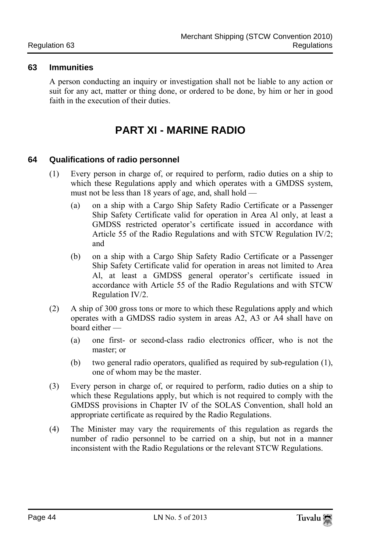#### **63 Immunities**

A person conducting an inquiry or investigation shall not be liable to any action or suit for any act, matter or thing done, or ordered to be done, by him or her in good faith in the execution of their duties.

# **PART XI - MARINE RADIO**

## **64 Qualifications of radio personnel**

- (1) Every person in charge of, or required to perform, radio duties on a ship to which these Regulations apply and which operates with a GMDSS system, must not be less than 18 years of age, and, shall hold —
	- (a) on a ship with a Cargo Ship Safety Radio Certificate or a Passenger Ship Safety Certificate valid for operation in Area Al only, at least a GMDSS restricted operator's certificate issued in accordance with Article 55 of the Radio Regulations and with STCW Regulation IV/2; and
	- (b) on a ship with a Cargo Ship Safety Radio Certificate or a Passenger Ship Safety Certificate valid for operation in areas not limited to Area Al, at least a GMDSS general operator's certificate issued in accordance with Article 55 of the Radio Regulations and with STCW Regulation IV/2.
- (2) A ship of 300 gross tons or more to which these Regulations apply and which operates with a GMDSS radio system in areas A2, A3 or A4 shall have on board either —
	- (a) one first- or second-class radio electronics officer, who is not the master; or
	- (b) two general radio operators, qualified as required by sub-regulation (1), one of whom may be the master.
- (3) Every person in charge of, or required to perform, radio duties on a ship to which these Regulations apply, but which is not required to comply with the GMDSS provisions in Chapter IV of the SOLAS Convention, shall hold an appropriate certificate as required by the Radio Regulations.
- (4) The Minister may vary the requirements of this regulation as regards the number of radio personnel to be carried on a ship, but not in a manner inconsistent with the Radio Regulations or the relevant STCW Regulations.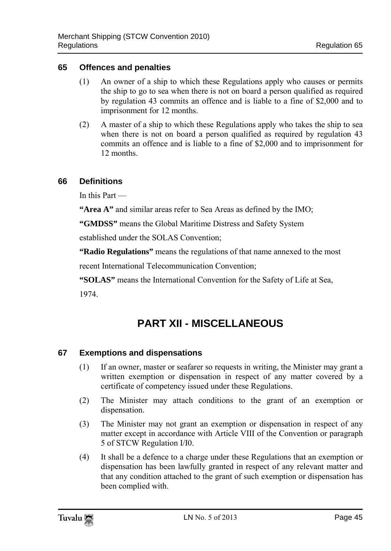### **65 Offences and penalties**

- (1) An owner of a ship to which these Regulations apply who causes or permits the ship to go to sea when there is not on board a person qualified as required by regulation 43 commits an offence and is liable to a fine of \$2,000 and to imprisonment for 12 months.
- (2) A master of a ship to which these Regulations apply who takes the ship to sea when there is not on board a person qualified as required by regulation 43 commits an offence and is liable to a fine of \$2,000 and to imprisonment for 12 months.

### **66 Definitions**

In this Part —

**"Area A"** and similar areas refer to Sea Areas as defined by the IMO;

**"GMDSS"** means the Global Maritime Distress and Safety System

established under the SOLAS Convention;

**"Radio Regulations"** means the regulations of that name annexed to the most

recent International Telecommunication Convention;

**"SOLAS"** means the International Convention for the Safety of Life at Sea,

1974.

# **PART XII - MISCELLANEOUS**

## **67 Exemptions and dispensations**

- (1) If an owner, master or seafarer so requests in writing, the Minister may grant a written exemption or dispensation in respect of any matter covered by a certificate of competency issued under these Regulations.
- (2) The Minister may attach conditions to the grant of an exemption or dispensation.
- (3) The Minister may not grant an exemption or dispensation in respect of any matter except in accordance with Article VIII of the Convention or paragraph 5 of STCW Regulation I/I0.
- (4) It shall be a defence to a charge under these Regulations that an exemption or dispensation has been lawfully granted in respect of any relevant matter and that any condition attached to the grant of such exemption or dispensation has been complied with.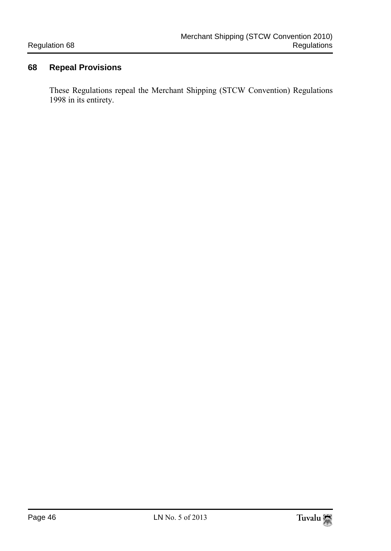## **68 Repeal Provisions**

These Regulations repeal the Merchant Shipping (STCW Convention) Regulations 1998 in its entirety.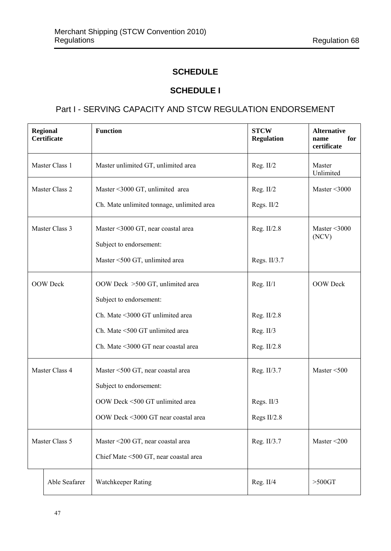## **SCHEDULE**

## **SCHEDULE I**

## Part I - SERVING CAPACITY AND STCW REGULATION ENDORSEMENT

|                 | <b>Function</b><br><b>Regional</b><br>Certificate |                                                               | <b>STCW</b><br><b>Regulation</b> | <b>Alternative</b><br>for<br>name<br>certificate |
|-----------------|---------------------------------------------------|---------------------------------------------------------------|----------------------------------|--------------------------------------------------|
|                 | Master Class 1                                    | Master unlimited GT, unlimited area                           | Reg. II/2                        | Master<br>Unlimited                              |
|                 | Master Class 2                                    | Master <3000 GT, unlimited area                               | Reg. II/2                        | Master $\leq 3000$                               |
|                 |                                                   | Ch. Mate unlimited tonnage, unlimited area                    | Regs. II/2                       |                                                  |
|                 | Master Class 3                                    | Master <3000 GT, near coastal area<br>Subject to endorsement: | Reg. $II/2.8$                    | Master $\leq 3000$<br>(NCV)                      |
|                 |                                                   | Master <500 GT, unlimited area                                | Regs. II/3.7                     |                                                  |
| <b>OOW</b> Deck |                                                   | OOW Deck >500 GT, unlimited area                              | Reg. II/1                        | <b>OOW</b> Deck                                  |
|                 |                                                   | Subject to endorsement:                                       |                                  |                                                  |
|                 |                                                   | Ch. Mate <3000 GT unlimited area                              | Reg. II/2.8                      |                                                  |
|                 |                                                   | Ch. Mate <500 GT unlimited area                               | Reg. $II/3$                      |                                                  |
|                 |                                                   | Ch. Mate <3000 GT near coastal area                           | Reg. II/2.8                      |                                                  |
|                 | Master Class 4                                    | Master <500 GT, near coastal area                             | Reg. II/3.7                      | Master $<$ 500                                   |
|                 |                                                   | Subject to endorsement:                                       |                                  |                                                  |
|                 |                                                   | OOW Deck <500 GT unlimited area                               | Regs. II/3                       |                                                  |
|                 |                                                   | OOW Deck <3000 GT near coastal area                           | Regs II/2.8                      |                                                  |
| Master Class 5  |                                                   | Master <200 GT, near coastal area                             | Reg. II/3.7                      | Master $\leq$ 200                                |
|                 |                                                   | Chief Mate <500 GT, near coastal area                         |                                  |                                                  |
| Able Seafarer   |                                                   | Watchkeeper Rating                                            | Reg. II/4                        | $>500$ GT                                        |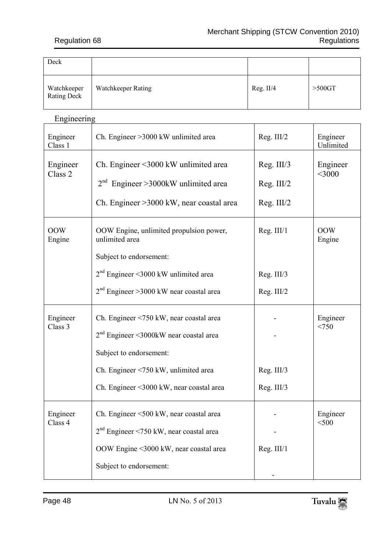| Deck                       |                    |             |           |
|----------------------------|--------------------|-------------|-----------|
| Watchkeeper<br>Rating Deck | Watchkeeper Rating | Reg. $II/4$ | $>500$ GT |

## Engineering

| Engineer<br>Class 1            | Ch. Engineer > 3000 kW unlimited area                                                                                                                                                              | Reg. III/2                             | Engineer<br>Unlimited |
|--------------------------------|----------------------------------------------------------------------------------------------------------------------------------------------------------------------------------------------------|----------------------------------------|-----------------------|
| Engineer<br>Class <sub>2</sub> | Ch. Engineer <3000 kW unlimited area<br>$2nd$ Engineer >3000kW unlimited area<br>Ch. Engineer > 3000 kW, near coastal area                                                                         | Reg. III/3<br>Reg. III/2<br>Reg. III/2 | Engineer<br>$<$ 3000  |
| <b>OOW</b><br>Engine           | OOW Engine, unlimited propulsion power,<br>unlimited area<br>Subject to endorsement:<br>$2nd$ Engineer <3000 kW unlimited area<br>$2nd$ Engineer > 3000 kW near coastal area                       | Reg. III/1<br>Reg. III/3<br>Reg. III/2 | <b>OOW</b><br>Engine  |
| Engineer<br>Class 3            | Ch. Engineer <750 kW, near coastal area<br>$2nd$ Engineer <3000kW near coastal area<br>Subject to endorsement:<br>Ch. Engineer <750 kW, unlimited area<br>Ch. Engineer <3000 kW, near coastal area | Reg. III/3<br>Reg. III/3               | Engineer<br>< 750     |
| Engineer<br>Class 4            | Ch. Engineer <500 kW, near coastal area<br>$2nd$ Engineer <750 kW, near coastal area<br>OOW Engine <3000 kW, near coastal area<br>Subject to endorsement:                                          | Reg. III/1                             | Engineer<br>$<$ 500   |

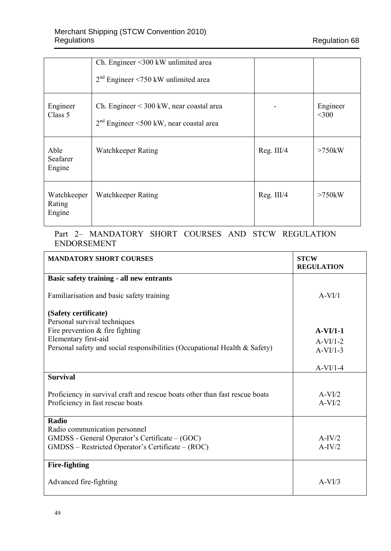|                                 | Ch. Engineer <300 kW unlimited area<br>$2nd$ Engineer <750 kW unlimited area            |            |                     |
|---------------------------------|-----------------------------------------------------------------------------------------|------------|---------------------|
| Engineer<br>Class 5             | Ch. Engineer $<$ 300 kW, near coastal area<br>$2nd$ Engineer <500 kW, near coastal area |            | Engineer<br>$<$ 300 |
| Able<br>Seafarer<br>Engine      | Watchkeeper Rating                                                                      | Reg. III/4 | $>750$ kW           |
| Watchkeeper<br>Rating<br>Engine | Watchkeeper Rating                                                                      | Reg. III/4 | $>750$ kW           |

#### Part 2– MANDATORY SHORT COURSES AND STCW REGULATION ENDORSEMENT

| <b>MANDATORY SHORT COURSES</b>                                                                                                       | <b>STCW</b><br><b>REGULATION</b> |
|--------------------------------------------------------------------------------------------------------------------------------------|----------------------------------|
| Basic safety training - all new entrants                                                                                             |                                  |
| Familiarisation and basic safety training                                                                                            | $A-VI/1$                         |
| (Safety certificate)                                                                                                                 |                                  |
| Personal survival techniques                                                                                                         |                                  |
| Fire prevention $&$ fire fighting                                                                                                    | $A-VI/1-1$                       |
| Elementary first-aid                                                                                                                 | $A-VI/1-2$                       |
| Personal safety and social responsibilities (Occupational Health & Safety)                                                           | $A-VI/1-3$                       |
|                                                                                                                                      | $A-VI/1-4$                       |
| <b>Survival</b>                                                                                                                      |                                  |
| Proficiency in survival craft and rescue boats other than fast rescue boats<br>Proficiency in fast rescue boats                      | $A-VI/2$<br>$A-VI/2$             |
| Radio                                                                                                                                |                                  |
| Radio communication personnel<br>GMDSS - General Operator's Certificate – (GOC)<br>GMDSS – Restricted Operator's Certificate – (ROC) | $A-IV/2$<br>$A-IV/2$             |
| <b>Fire-fighting</b>                                                                                                                 |                                  |
| Advanced fire-fighting                                                                                                               | $A-VI/3$                         |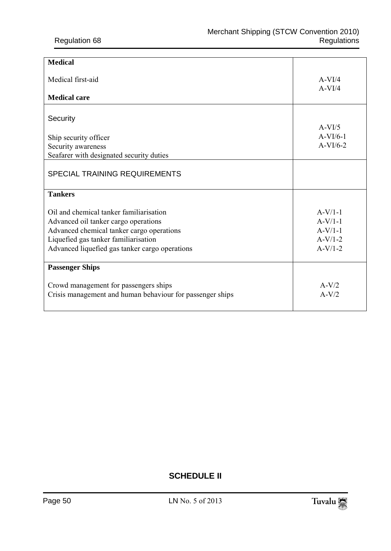| <b>Medical</b>                                            |                      |
|-----------------------------------------------------------|----------------------|
| Medical first-aid                                         | $A-VI/4$<br>$A-VI/4$ |
| <b>Medical care</b>                                       |                      |
| Security                                                  | $A-VI/5$             |
| Ship security officer                                     | $A-VI/6-1$           |
| Security awareness                                        | $A-VI/6-2$           |
| Seafarer with designated security duties                  |                      |
| SPECIAL TRAINING REQUIREMENTS                             |                      |
| <b>Tankers</b>                                            |                      |
| Oil and chemical tanker familiarisation                   | $A-V/1-1$            |
| Advanced oil tanker cargo operations                      | $A-V/1-1$            |
| Advanced chemical tanker cargo operations                 | $A-V/1-1$            |
| Liquefied gas tanker familiarisation                      | $A-V/1-2$            |
| Advanced liquefied gas tanker cargo operations            | $A-V/1-2$            |
| <b>Passenger Ships</b>                                    |                      |
| Crowd management for passengers ships                     | $A-V/2$              |
| Crisis management and human behaviour for passenger ships | $A-V/2$              |
|                                                           |                      |

## **SCHEDULE II**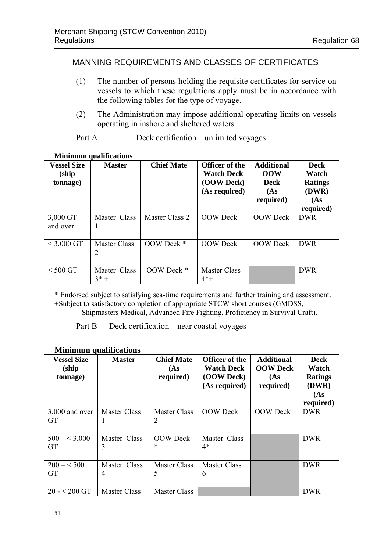## MANNING REQUIREMENTS AND CLASSES OF CERTIFICATES

- (1) The number of persons holding the requisite certificates for service on vessels to which these regulations apply must be in accordance with the following tables for the type of voyage.
- (2) The Administration may impose additional operating limits on vessels operating in inshore and sheltered waters.

Part A Deck certification – unlimited voyages

| <b>Vessel Size</b><br>(ship<br>(tonnage) | <b>Master</b>          | <b>Chief Mate</b> | Officer of the<br><b>Watch Deck</b><br>(OOW Deck)<br>(As required) | <b>Additional</b><br><b>OOW</b><br>Deck<br>(As<br>required) | <b>Deck</b><br>Watch<br><b>Ratings</b><br>(DWR)<br>(As)<br>required) |
|------------------------------------------|------------------------|-------------------|--------------------------------------------------------------------|-------------------------------------------------------------|----------------------------------------------------------------------|
| 3,000 GT<br>and over                     | Master Class           | Master Class 2    | <b>OOW</b> Deck                                                    | <b>OOW</b> Deck                                             | <b>DWR</b>                                                           |
| $<$ 3,000 GT                             | Master Class<br>2      | OOW Deck *        | <b>OOW</b> Deck                                                    | <b>OOW</b> Deck                                             | <b>DWR</b>                                                           |
| $<$ 500 GT                               | Master Class<br>$3* +$ | OOW Deck *        | Master Class<br>$4*+$                                              |                                                             | <b>DWR</b>                                                           |

#### **Minimum qualifications**

\* Endorsed subject to satisfying sea-time requirements and further training and assessment.

+Subject to satisfactory completion of appropriate STCW short courses (GMDSS,

Shipmasters Medical, Advanced Fire Fighting, Proficiency in Survival Craft).

Part B Deck certification – near coastal voyages

#### **Minimum qualifications**

| <b>Vessel Size</b><br>(ship)<br>tonnage) | <b>Master</b>       | <b>Chief Mate</b><br>(As<br>required) | Officer of the<br><b>Watch Deck</b><br>(OOW Deck)<br>(As required) | <b>Additional</b><br><b>OOW</b> Deck<br>(As)<br>required) | <b>Deck</b><br>Watch<br><b>Ratings</b><br>(DWR)<br>(As)<br>required) |
|------------------------------------------|---------------------|---------------------------------------|--------------------------------------------------------------------|-----------------------------------------------------------|----------------------------------------------------------------------|
| $3,000$ and over                         | Master Class        | Master Class                          | <b>OOW</b> Deck                                                    | <b>OOW</b> Deck                                           | <b>DWR</b>                                                           |
| <b>GT</b>                                |                     | $\overline{2}$                        |                                                                    |                                                           |                                                                      |
| $500 - 5,000$                            | Master Class        | <b>OOW</b> Deck                       | Master Class                                                       |                                                           | <b>DWR</b>                                                           |
| <b>GT</b>                                | 3                   | $\ast$                                | $4*$                                                               |                                                           |                                                                      |
| $200 - 500$                              | Master Class        | Master Class                          | Master Class                                                       |                                                           | <b>DWR</b>                                                           |
| <b>GT</b>                                | 4                   | 5                                     | 6                                                                  |                                                           |                                                                      |
| $20 - 200$ GT                            | <b>Master Class</b> | Master Class                          |                                                                    |                                                           | <b>DWR</b>                                                           |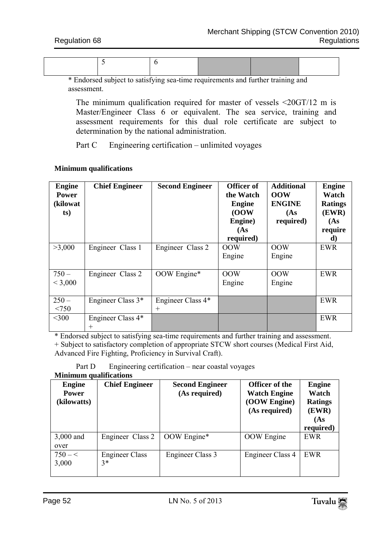\* Endorsed subject to satisfying sea-time requirements and further training and assessment.

The minimum qualification required for master of vessels <20GT/12 m is Master/Engineer Class 6 or equivalent. The sea service, training and assessment requirements for this dual role certificate are subject to determination by the national administration.

Part C Engineering certification – unlimited voyages

| <b>Engine</b><br><b>Power</b><br>(kilowat<br>ts) | <b>Chief Engineer</b>       | <b>Second Engineer</b>      | Officer of<br>the Watch<br><b>Engine</b><br>(00W)<br>Engine)<br>(As)<br>required) | <b>Additional</b><br><b>OOW</b><br><b>ENGINE</b><br>(As<br>required) | <b>Engine</b><br>Watch<br><b>Ratings</b><br>(EWR)<br>(As)<br>require<br>d) |
|--------------------------------------------------|-----------------------------|-----------------------------|-----------------------------------------------------------------------------------|----------------------------------------------------------------------|----------------------------------------------------------------------------|
| >3,000                                           | Engineer Class 1            | Engineer Class 2            | 00W<br>Engine                                                                     | 00 <sub>W</sub><br>Engine                                            | <b>EWR</b>                                                                 |
| $750 -$<br>< 3,000                               | Engineer Class 2            | OOW Engine*                 | <b>OOW</b><br>Engine                                                              | OOW<br>Engine                                                        | <b>EWR</b>                                                                 |
| $250 -$<br>< 750                                 | Engineer Class 3*           | Engineer Class 4*<br>$^{+}$ |                                                                                   |                                                                      | <b>EWR</b>                                                                 |
| $<$ 300                                          | Engineer Class 4*<br>$^{+}$ |                             |                                                                                   |                                                                      | EWR                                                                        |

#### **Minimum qualifications**

\* Endorsed subject to satisfying sea-time requirements and further training and assessment. + Subject to satisfactory completion of appropriate STCW short courses (Medical First Aid,

Advanced Fire Fighting, Proficiency in Survival Craft).

Part D Engineering certification – near coastal voyages

#### **Minimum qualifications**

| <b>Engine</b><br><b>Power</b><br>(kilowatts) | <b>Chief Engineer</b>         | <b>Second Engineer</b><br>(As required) | <b>Officer of the</b><br><b>Watch Engine</b><br>(OOW Engine)<br>(As required) | <b>Engine</b><br>Watch<br><b>Ratings</b><br>(EWR)<br>(As<br>required) |
|----------------------------------------------|-------------------------------|-----------------------------------------|-------------------------------------------------------------------------------|-----------------------------------------------------------------------|
| 3,000 and<br>over                            | Engineer Class 2              | OOW Engine*                             | <b>OOW</b> Engine                                                             | <b>EWR</b>                                                            |
| $750 - <$<br>3,000                           | <b>Engineer Class</b><br>$3*$ | Engineer Class 3                        | Engineer Class 4                                                              | <b>EWR</b>                                                            |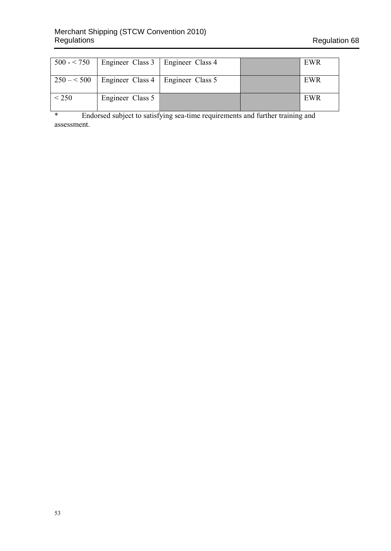|            | $500 - 750$   Engineer Class 3   Engineer Class 4 |  | EWR |
|------------|---------------------------------------------------|--|-----|
|            | $250 - 500$   Engineer Class 4   Engineer Class 5 |  | EWR |
| $\leq$ 250 | Engineer Class 5                                  |  | EWR |

\* Endorsed subject to satisfying sea-time requirements and further training and assessment.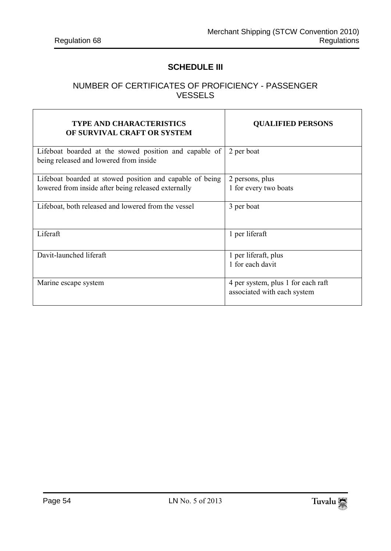$\overline{\phantom{0}}$ 

 $\mathsf{r}$ 

#### **SCHEDULE III**

## NUMBER OF CERTIFICATES OF PROFICIENCY - PASSENGER VESSELS

 $\top$ 

| <b>TYPE AND CHARACTERISTICS</b><br>OF SURVIVAL CRAFT OR SYSTEM                                   | <b>OUALIFIED PERSONS</b>                                          |
|--------------------------------------------------------------------------------------------------|-------------------------------------------------------------------|
| Lifeboat boarded at the stowed position and capable of<br>being released and lowered from inside | 2 per boat                                                        |
| Lifeboat boarded at stowed position and capable of being                                         | 2 persons, plus                                                   |
| lowered from inside after being released externally                                              | 1 for every two boats                                             |
| Lifeboat, both released and lowered from the vessel                                              | 3 per boat                                                        |
| Liferaft                                                                                         | 1 per liferaft                                                    |
| Davit-launched liferaft                                                                          | 1 per liferaft, plus                                              |
|                                                                                                  | 1 for each davit                                                  |
| Marine escape system                                                                             | 4 per system, plus 1 for each raft<br>associated with each system |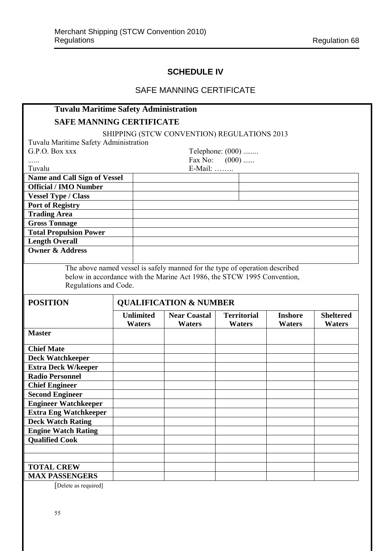## **SCHEDULE IV**

## SAFE MANNING CERTIFICATE

| <b>Tuvalu Maritime Safety Administration</b> |                                   |                                                                                                                                                        |                              |                          |                            |
|----------------------------------------------|-----------------------------------|--------------------------------------------------------------------------------------------------------------------------------------------------------|------------------------------|--------------------------|----------------------------|
| <b>SAFE MANNING CERTIFICATE</b>              |                                   |                                                                                                                                                        |                              |                          |                            |
|                                              |                                   | SHIPPING (STCW CONVENTION) REGULATIONS 2013                                                                                                            |                              |                          |                            |
| Tuvalu Maritime Safety Administration        |                                   |                                                                                                                                                        |                              |                          |                            |
| G.P.O. Box xxx                               |                                   |                                                                                                                                                        | Telephone: (000)             |                          |                            |
|                                              |                                   |                                                                                                                                                        | Fax No: $(000)$              |                          |                            |
| Tuvalu                                       |                                   | E-Mail:                                                                                                                                                |                              |                          |                            |
| <b>Name and Call Sign of Vessel</b>          |                                   |                                                                                                                                                        |                              |                          |                            |
| <b>Official / IMO Number</b>                 |                                   |                                                                                                                                                        |                              |                          |                            |
| <b>Vessel Type / Class</b>                   |                                   |                                                                                                                                                        |                              |                          |                            |
| <b>Port of Registry</b>                      |                                   |                                                                                                                                                        |                              |                          |                            |
| <b>Trading Area</b>                          |                                   |                                                                                                                                                        |                              |                          |                            |
| <b>Gross Tonnage</b>                         |                                   |                                                                                                                                                        |                              |                          |                            |
| <b>Total Propulsion Power</b>                |                                   |                                                                                                                                                        |                              |                          |                            |
| <b>Length Overall</b>                        |                                   |                                                                                                                                                        |                              |                          |                            |
| <b>Owner &amp; Address</b>                   |                                   |                                                                                                                                                        |                              |                          |                            |
|                                              |                                   |                                                                                                                                                        |                              |                          |                            |
| Regulations and Code.                        |                                   | The above named vessel is safely manned for the type of operation described<br>below in accordance with the Marine Act 1986, the STCW 1995 Convention, |                              |                          |                            |
|                                              |                                   |                                                                                                                                                        |                              |                          |                            |
| <b>POSITION</b>                              |                                   | <b>QUALIFICATION &amp; NUMBER</b>                                                                                                                      |                              |                          |                            |
|                                              | <b>Unlimited</b><br><b>Waters</b> | <b>Near Coastal</b><br>Waters                                                                                                                          | <b>Territorial</b><br>Waters | <b>Inshore</b><br>Waters | <b>Sheltered</b><br>Waters |
| <b>Master</b>                                |                                   |                                                                                                                                                        |                              |                          |                            |
| <b>Chief Mate</b>                            |                                   |                                                                                                                                                        |                              |                          |                            |
| <b>Deck Watchkeeper</b>                      |                                   |                                                                                                                                                        |                              |                          |                            |
| <b>Extra Deck W/keeper</b>                   |                                   |                                                                                                                                                        |                              |                          |                            |
| <b>Radio Personnel</b>                       |                                   |                                                                                                                                                        |                              |                          |                            |
| <b>Chief Engineer</b>                        |                                   |                                                                                                                                                        |                              |                          |                            |
| <b>Second Engineer</b>                       |                                   |                                                                                                                                                        |                              |                          |                            |
| <b>Engineer Watchkeeper</b>                  |                                   |                                                                                                                                                        |                              |                          |                            |
| <b>Extra Eng Watchkeeper</b>                 |                                   |                                                                                                                                                        |                              |                          |                            |
| <b>Deck Watch Rating</b>                     |                                   |                                                                                                                                                        |                              |                          |                            |
| <b>Engine Watch Rating</b>                   |                                   |                                                                                                                                                        |                              |                          |                            |
| <b>Qualified Cook</b>                        |                                   |                                                                                                                                                        |                              |                          |                            |
|                                              |                                   |                                                                                                                                                        |                              |                          |                            |
|                                              |                                   |                                                                                                                                                        |                              |                          |                            |
| <b>TOTAL CREW</b>                            |                                   |                                                                                                                                                        |                              |                          |                            |

[Delete as required]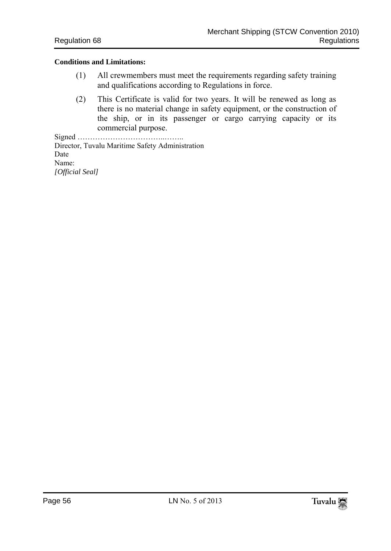#### **Conditions and Limitations:**

- (1) All crewmembers must meet the requirements regarding safety training and qualifications according to Regulations in force.
- (2) This Certificate is valid for two years. It will be renewed as long as there is no material change in safety equipment, or the construction of the ship, or in its passenger or cargo carrying capacity or its commercial purpose.

Signed ……………………………..…….. Director, Tuvalu Maritime Safety Administration Date Name: *[Official Seal]*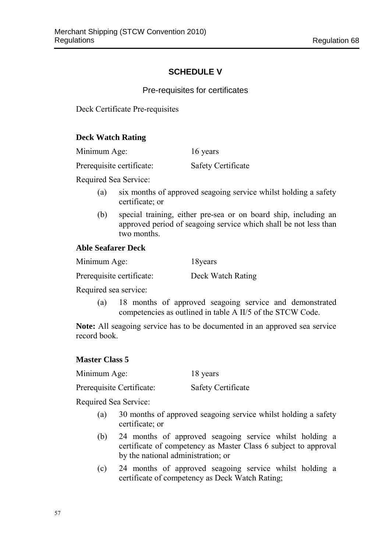## **SCHEDULE V**

Pre-requisites for certificates

Deck Certificate Pre-requisites

#### **Deck Watch Rating**

Minimum Age: 16 years

Prerequisite certificate: Safety Certificate

Required Sea Service:

- (a) six months of approved seagoing service whilst holding a safety certificate; or
- (b) special training, either pre-sea or on board ship, including an approved period of seagoing service which shall be not less than two months.

#### **Able Seafarer Deck**

Minimum Age: 18years

Prerequisite certificate: Deck Watch Rating

Required sea service:

(a) 18 months of approved seagoing service and demonstrated competencies as outlined in table A II/5 of the STCW Code.

**Note:** All seagoing service has to be documented in an approved sea service record book.

#### **Master Class 5**

Minimum Age: 18 years

Prerequisite Certificate: Safety Certificate

Required Sea Service:

- (a) 30 months of approved seagoing service whilst holding a safety certificate; or
- (b) 24 months of approved seagoing service whilst holding a certificate of competency as Master Class 6 subject to approval by the national administration; or
- (c) 24 months of approved seagoing service whilst holding a certificate of competency as Deck Watch Rating;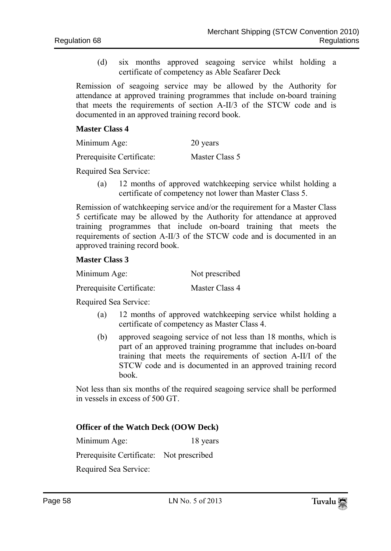(d) six months approved seagoing service whilst holding a certificate of competency as Able Seafarer Deck

Remission of seagoing service may be allowed by the Authority for attendance at approved training programmes that include on-board training that meets the requirements of section A-II/3 of the STCW code and is documented in an approved training record book.

#### **Master Class 4**

| Minimum Age: | 20 years |
|--------------|----------|
|--------------|----------|

Prerequisite Certificate: Master Class 5

Required Sea Service:

(a) 12 months of approved watchkeeping service whilst holding a certificate of competency not lower than Master Class 5.

Remission of watchkeeping service and/or the requirement for a Master Class 5 certificate may be allowed by the Authority for attendance at approved training programmes that include on-board training that meets the requirements of section A-II/3 of the STCW code and is documented in an approved training record book.

#### **Master Class 3**

| Minimum Age: | Not prescribed |
|--------------|----------------|
|              |                |

Prerequisite Certificate: Master Class 4

Required Sea Service:

- (a) 12 months of approved watchkeeping service whilst holding a certificate of competency as Master Class 4.
- (b) approved seagoing service of not less than 18 months, which is part of an approved training programme that includes on-board training that meets the requirements of section A-II/I of the STCW code and is documented in an approved training record book.

Not less than six months of the required seagoing service shall be performed in vessels in excess of 500 GT.

#### **Officer of the Watch Deck (OOW Deck)**

Minimum Age: 18 years

Prerequisite Certificate: Not prescribed

Required Sea Service: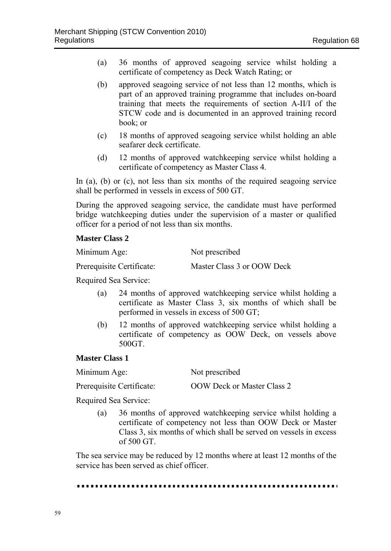- (a) 36 months of approved seagoing service whilst holding a certificate of competency as Deck Watch Rating; or
- (b) approved seagoing service of not less than 12 months, which is part of an approved training programme that includes on-board training that meets the requirements of section A-II/I of the STCW code and is documented in an approved training record book; or
- (c) 18 months of approved seagoing service whilst holding an able seafarer deck certificate.
- (d) 12 months of approved watchkeeping service whilst holding a certificate of competency as Master Class 4.

In (a), (b) or (c), not less than six months of the required seagoing service shall be performed in vessels in excess of 500 GT.

During the approved seagoing service, the candidate must have performed bridge watchkeeping duties under the supervision of a master or qualified officer for a period of not less than six months.

#### **Master Class 2**

| Minimum Age:              | Not prescribed             |
|---------------------------|----------------------------|
| Prerequisite Certificate: | Master Class 3 or OOW Deck |

Required Sea Service:

- (a) 24 months of approved watchkeeping service whilst holding a certificate as Master Class 3, six months of which shall be performed in vessels in excess of 500 GT;
- (b) 12 months of approved watchkeeping service whilst holding a certificate of competency as OOW Deck, on vessels above 500GT.

#### **Master Class 1**

| Minimum Age: | Not prescribed |
|--------------|----------------|
|--------------|----------------|

Prerequisite Certificate: 00W Deck or Master Class 2

Required Sea Service:

(a) 36 months of approved watchkeeping service whilst holding a certificate of competency not less than OOW Deck or Master Class 3, six months of which shall be served on vessels in excess of 500 GT.

The sea service may be reduced by 12 months where at least 12 months of the service has been served as chief officer.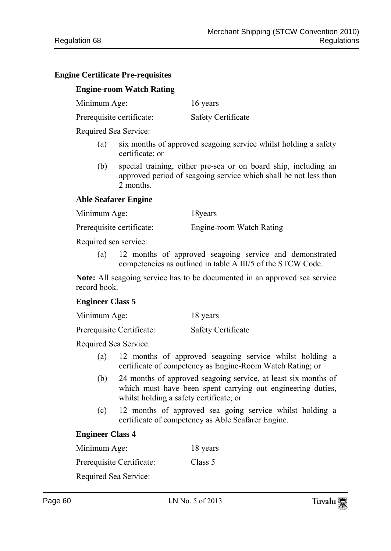#### **Engine Certificate Pre-requisites**

### **Engine-room Watch Rating**

Minimum Age: 16 years

Prerequisite certificate: Safety Certificate

Required Sea Service:

- (a) six months of approved seagoing service whilst holding a safety certificate; or
- (b) special training, either pre-sea or on board ship, including an approved period of seagoing service which shall be not less than 2 months.

#### **Able Seafarer Engine**

Minimum Age: 18years

Prerequisite certificate: Engine-room Watch Rating

Required sea service:

(a) 12 months of approved seagoing service and demonstrated competencies as outlined in table A III/5 of the STCW Code.

**Note:** All seagoing service has to be documented in an approved sea service record book.

#### **Engineer Class 5**

| Minimum Age: | 18 years |
|--------------|----------|
|              |          |

Prerequisite Certificate: Safety Certificate

Required Sea Service:

- (a) 12 months of approved seagoing service whilst holding a certificate of competency as Engine-Room Watch Rating; or
- (b) 24 months of approved seagoing service, at least six months of which must have been spent carrying out engineering duties, whilst holding a safety certificate; or
- (c) 12 months of approved sea going service whilst holding a certificate of competency as Able Seafarer Engine.

## **Engineer Class 4**

Minimum Age: 18 years Prerequisite Certificate: Class 5 Required Sea Service: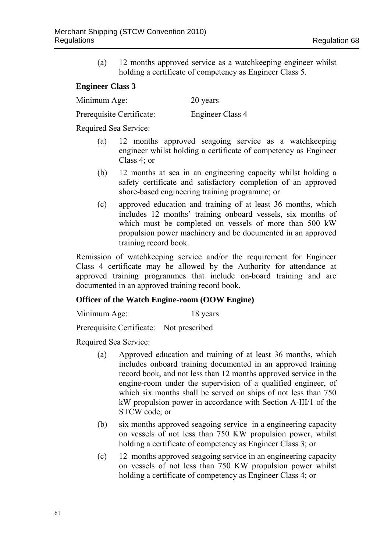(a) 12 months approved service as a watchkeeping engineer whilst holding a certificate of competency as Engineer Class 5.

#### **Engineer Class 3**

Minimum Age: 20 years

Prerequisite Certificate: Engineer Class 4

Required Sea Service:

- (a) 12 months approved seagoing service as a watchkeeping engineer whilst holding a certificate of competency as Engineer Class 4; or
- (b) 12 months at sea in an engineering capacity whilst holding a safety certificate and satisfactory completion of an approved shore-based engineering training programme; or
- (c) approved education and training of at least 36 months, which includes 12 months' training onboard vessels, six months of which must be completed on vessels of more than 500 kW propulsion power machinery and be documented in an approved training record book.

Remission of watchkeeping service and/or the requirement for Engineer Class 4 certificate may be allowed by the Authority for attendance at approved training programmes that include on-board training and are documented in an approved training record book.

#### **Officer of the Watch Engine-room (OOW Engine)**

Minimum Age: 18 years

Prerequisite Certificate: Not prescribed

Required Sea Service:

- (a) Approved education and training of at least 36 months, which includes onboard training documented in an approved training record book, and not less than 12 months approved service in the engine-room under the supervision of a qualified engineer, of which six months shall be served on ships of not less than 750 kW propulsion power in accordance with Section A-III/1 of the STCW code; or
- (b) six months approved seagoing service in a engineering capacity on vessels of not less than 750 KW propulsion power, whilst holding a certificate of competency as Engineer Class 3; or
- (c) 12 months approved seagoing service in an engineering capacity on vessels of not less than 750 KW propulsion power whilst holding a certificate of competency as Engineer Class 4; or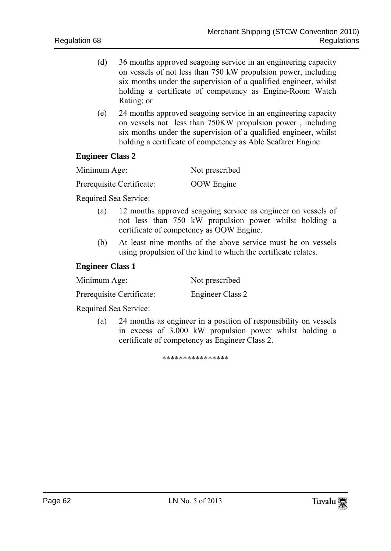- (d) 36 months approved seagoing service in an engineering capacity on vessels of not less than 750 kW propulsion power, including six months under the supervision of a qualified engineer, whilst holding a certificate of competency as Engine-Room Watch Rating; or
- (e) 24 months approved seagoing service in an engineering capacity on vessels not less than 750KW propulsion power , including six months under the supervision of a qualified engineer, whilst holding a certificate of competency as Able Seafarer Engine

#### **Engineer Class 2**

| Minimum Age: | Not prescribed |
|--------------|----------------|
|              |                |

Prerequisite Certificate: 00W Engine

Required Sea Service:

- (a) 12 months approved seagoing service as engineer on vessels of not less than 750 kW propulsion power whilst holding a certificate of competency as OOW Engine.
- (b) At least nine months of the above service must be on vessels using propulsion of the kind to which the certificate relates.

#### **Engineer Class 1**

| Minimum Age:              | Not prescribed   |
|---------------------------|------------------|
| Prerequisite Certificate: | Engineer Class 2 |

Required Sea Service:

(a) 24 months as engineer in a position of responsibility on vessels in excess of 3,000 kW propulsion power whilst holding a certificate of competency as Engineer Class 2.

\*\*\*\*\*\*\*\*\*\*\*\*\*\*\*\*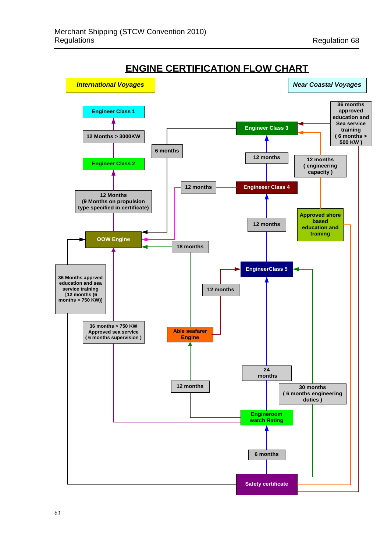

**ENGINE CERTIFICATION FLOW CHART**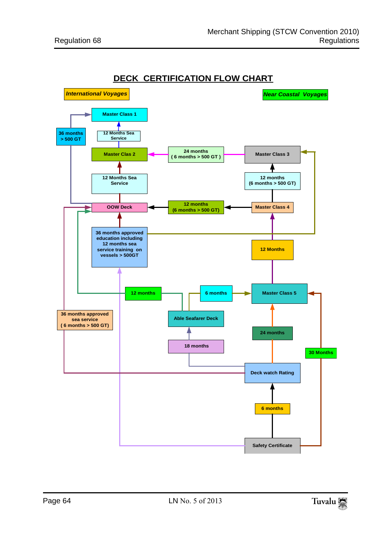

**DECK CERTIFICATION FLOW CHART**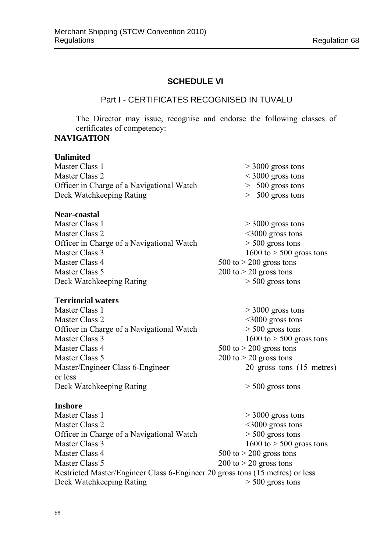$1600$  to  $> 500$  gross tons

### **SCHEDULE VI**

#### Part I - CERTIFICATES RECOGNISED IN TUVALU

The Director may issue, recognise and endorse the following classes of certificates of competency: **NAVIGATION**

## **Unlimited**

| Master Class 1                            | $>$ 3000 gross tons    |
|-------------------------------------------|------------------------|
| Master Class 2                            | $\leq$ 3000 gross tons |
| Officer in Charge of a Navigational Watch | $> 500$ gross tons     |
| Deck Watchkeeping Rating                  | $> 500$ gross tons     |

#### **Near-coastal**

| $>$ 3000 gross tons         |
|-----------------------------|
| $\leq$ 3000 gross tons      |
| $>$ 500 gross tons          |
| 1600 to $>$ 500 gross tons  |
| $500$ to $> 200$ gross tons |
| $200$ to $> 20$ gross tons  |
| $>$ 500 gross tons          |
|                             |

#### **Territorial waters**

Master Class 1  $>$  3000 gross tons Master Class 2 <3000 gross tons<br>Officer in Charge of a Navigational Watch > 500 gross tons Officer in Charge of a Navigational Watch<br>Master Class 3 Master Class 4  $500 \text{ to } > 200 \text{ gross tons}$ Master Class 5<br>
Master/Engineer Class 6-Engineer<br>
200 to > 20 gross tons (15 metres)<br>
20 gross tons (15 metres) Master/Engineer Class 6-Engineer or less Deck Watchkeeping Rating  $> 500$  gross tons

**Inshore**<br>Master Class 1  $> 3000$  gross tons Master Class 2 <3000 gross tons Officer in Charge of a Navigational Watch  $>$  500 gross tons<br>Master Class 3 1600 to > 500 gross  $1600$  to  $> 500$  gross tons Master Class 4 500 to > 200 gross tons Master Class 5  $200 \text{ to } > 20 \text{ gross tons}$ Restricted Master/Engineer Class 6-Engineer 20 gross tons (15 metres) or less<br>Deck Watchkeeping Rating  $> 500$  gross tons Deck Watchkeeping Rating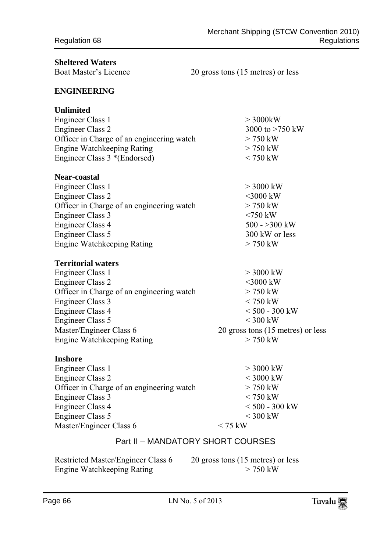| <b>Sheltered Waters</b><br><b>Boat Master's Licence</b>                                                                                                                                                                                                                       | 20 gross tons (15 metres) or less                                                                                                             |
|-------------------------------------------------------------------------------------------------------------------------------------------------------------------------------------------------------------------------------------------------------------------------------|-----------------------------------------------------------------------------------------------------------------------------------------------|
| ENGINEERING                                                                                                                                                                                                                                                                   |                                                                                                                                               |
| Unlimited<br><b>Engineer Class 1</b><br><b>Engineer Class 2</b><br>Officer in Charge of an engineering watch<br><b>Engine Watchkeeping Rating</b><br>Engineer Class 3 *(Endorsed)                                                                                             | $>$ 3000kW<br>3000 to $>750$ kW<br>$> 750$ kW<br>$> 750$ kW<br>$<$ 750 kW                                                                     |
| <b>Near-coastal</b><br>Engineer Class 1<br><b>Engineer Class 2</b><br>Officer in Charge of an engineering watch<br><b>Engineer Class 3</b><br><b>Engineer Class 4</b><br><b>Engineer Class 5</b><br><b>Engine Watchkeeping Rating</b>                                         | $>$ 3000 kW<br>$<$ 3000 kW<br>$> 750$ kW<br>$<$ 750 kW<br>500 - $>300$ kW<br>300 kW or less<br>$>750$ kW                                      |
| <b>Territorial waters</b><br><b>Engineer Class 1</b><br><b>Engineer Class 2</b><br>Officer in Charge of an engineering watch<br><b>Engineer Class 3</b><br><b>Engineer Class 4</b><br><b>Engineer Class 5</b><br>Master/Engineer Class 6<br><b>Engine Watchkeeping Rating</b> | $>$ 3000 kW<br>$<$ 3000 kW<br>$> 750$ kW<br>$<$ 750 kW<br>$< 500 - 300$ kW<br>$<$ 300 kW<br>20 gross tons (15 metres) or less<br>$> 750$ kW   |
| Inshore<br><b>Engineer Class 1</b><br><b>Engineer Class 2</b><br>Officer in Charge of an engineering watch<br>Engineer Class 3<br><b>Engineer Class 4</b><br><b>Engineer Class 5</b><br>Master/Engineer Class 6                                                               | $>$ 3000 kW<br>$<$ 3000 kW<br>$>750$ kW<br>$<$ 750 kW<br>$< 500 - 300$ kW<br>$<$ 300 kW<br>$\rm < 75~kW$<br>Part II - MANDATORY SHORT COURSES |
|                                                                                                                                                                                                                                                                               |                                                                                                                                               |

Restricted Master/Engineer Class 6 20 gross tons (15 metres) or less Engine Watchkeeping Rating  $> 750$  kW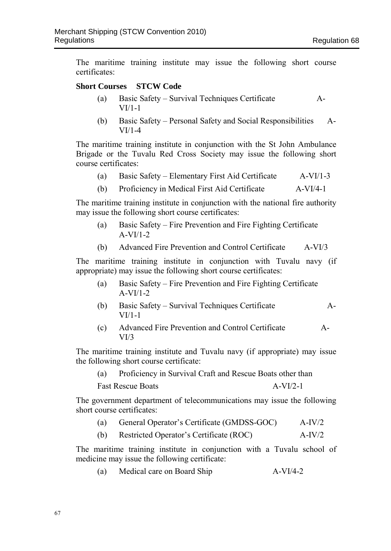The maritime training institute may issue the following short course certificates:

#### **Short Courses STCW Code**

- (a) Basic Safety Survival Techniques Certificate A-VI/1-1
- (b) Basic Safety Personal Safety and Social Responsibilities A-VI/1-4

The maritime training institute in conjunction with the St John Ambulance Brigade or the Tuvalu Red Cross Society may issue the following short course certificates:

- (a) Basic Safety Elementary First Aid Certificate A-VI/1-3
- (b) Proficiency in Medical First Aid Certificate A-VI/4-1

The maritime training institute in conjunction with the national fire authority may issue the following short course certificates:

- (a) Basic Safety Fire Prevention and Fire Fighting Certificate A-VI/1-2
- (b) Advanced Fire Prevention and Control Certificate A-VI/3

The maritime training institute in conjunction with Tuvalu navy (if appropriate) may issue the following short course certificates:

- (a) Basic Safety Fire Prevention and Fire Fighting Certificate  $A-VI/1-2$
- (b) Basic Safety Survival Techniques Certificate A-VI/1-1
- (c) Advanced Fire Prevention and Control Certificate A- $VI/3$

The maritime training institute and Tuvalu navy (if appropriate) may issue the following short course certificate:

(a) Proficiency in Survival Craft and Rescue Boats other than

Fast Rescue Boats A-VI/2-1

The government department of telecommunications may issue the following short course certificates:

| (a) | General Operator's Certificate (GMDSS-GOC) |  |  | $A-IV/2$ |
|-----|--------------------------------------------|--|--|----------|
|-----|--------------------------------------------|--|--|----------|

(b) Restricted Operator's Certificate (ROC) A-IV/2

The maritime training institute in conjunction with a Tuvalu school of medicine may issue the following certificate:

(a) Medical care on Board Ship A-VI/4-2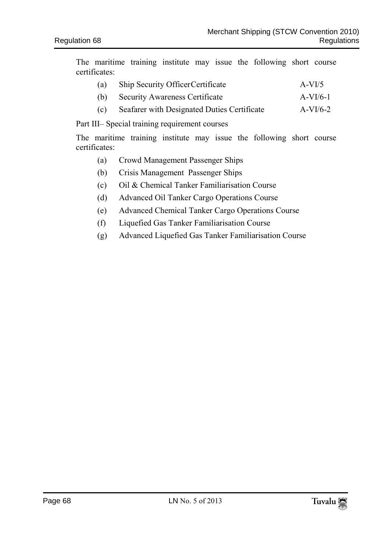The maritime training institute may issue the following short course certificates:

- (a) Ship Security OfficerCertificate A-VI/5
- (b) Security Awareness Certificate A-VI/6-1
- (c) Seafarer with Designated Duties Certificate A-VI/6-2

Part III– Special training requirement courses

The maritime training institute may issue the following short course certificates:

- (a) Crowd Management Passenger Ships
- (b) Crisis Management Passenger Ships
- (c) Oil & Chemical Tanker Familiarisation Course
- (d) Advanced Oil Tanker Cargo Operations Course
- (e) Advanced Chemical Tanker Cargo Operations Course
- (f) Liquefied Gas Tanker Familiarisation Course
- (g) Advanced Liquefied Gas Tanker Familiarisation Course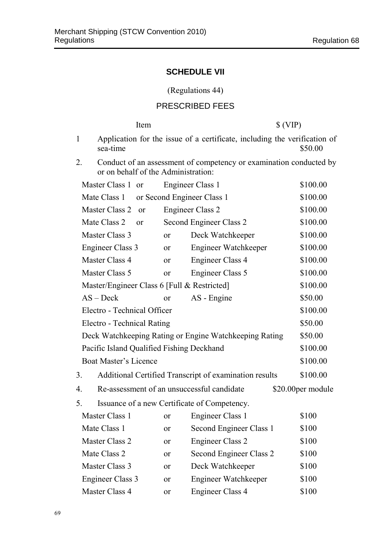## **SCHEDULE VII**

(Regulations 44)

## PRESCRIBED FEES

|              | Item                                        |               |                                                                           | \$ (VIP)          |  |  |  |
|--------------|---------------------------------------------|---------------|---------------------------------------------------------------------------|-------------------|--|--|--|
| $\mathbf{1}$ | sea-time                                    |               | Application for the issue of a certificate, including the verification of | \$50.00           |  |  |  |
| 2.           | or on behalf of the Administration:         |               | Conduct of an assessment of competency or examination conducted by        |                   |  |  |  |
|              | Master Class 1 or                           |               | Engineer Class 1                                                          | \$100.00          |  |  |  |
|              | Mate Class 1                                |               | or Second Engineer Class 1                                                | \$100.00          |  |  |  |
|              | Master Class 2<br><sub>or</sub>             |               | <b>Engineer Class 2</b>                                                   | \$100.00          |  |  |  |
|              | Mate Class 2<br><sub>or</sub>               |               | Second Engineer Class 2                                                   | \$100.00          |  |  |  |
|              | Master Class 3                              | or            | Deck Watchkeeper                                                          | \$100.00          |  |  |  |
|              | <b>Engineer Class 3</b>                     | <sub>or</sub> | <b>Engineer Watchkeeper</b>                                               | \$100.00          |  |  |  |
|              | Master Class 4                              | <sub>or</sub> | <b>Engineer Class 4</b>                                                   | \$100.00          |  |  |  |
|              | Master Class 5                              | <sub>or</sub> | <b>Engineer Class 5</b>                                                   | \$100.00          |  |  |  |
|              | Master/Engineer Class 6 [Full & Restricted] |               |                                                                           | \$100.00          |  |  |  |
|              | $AS - Deck$                                 | <sub>or</sub> | AS - Engine                                                               | \$50.00           |  |  |  |
|              | Electro - Technical Officer                 |               |                                                                           | \$100.00          |  |  |  |
|              | Electro - Technical Rating                  |               |                                                                           | \$50.00           |  |  |  |
|              |                                             |               | Deck Watchkeeping Rating or Engine Watchkeeping Rating                    | \$50.00           |  |  |  |
|              | Pacific Island Qualified Fishing Deckhand   |               |                                                                           | \$100.00          |  |  |  |
|              | <b>Boat Master's Licence</b>                |               |                                                                           | \$100.00          |  |  |  |
| 3.           |                                             |               | Additional Certified Transcript of examination results                    | \$100.00          |  |  |  |
| 4.           |                                             |               | Re-assessment of an unsuccessful candidate                                | \$20.00per module |  |  |  |
| 5.           |                                             |               | Issuance of a new Certificate of Competency.                              |                   |  |  |  |
|              | Master Class 1                              | or            | Engineer Class 1                                                          | \$100             |  |  |  |
|              | Mate Class 1                                | or            | Second Engineer Class 1                                                   | \$100             |  |  |  |
|              | Master Class 2                              | or            | <b>Engineer Class 2</b>                                                   | \$100             |  |  |  |
|              | Mate Class 2                                | or            | Second Engineer Class 2                                                   | \$100             |  |  |  |
|              | Master Class 3                              | <sub>or</sub> | Deck Watchkeeper                                                          | \$100             |  |  |  |
|              | <b>Engineer Class 3</b>                     | or            | <b>Engineer Watchkeeper</b>                                               | \$100             |  |  |  |
|              | Master Class 4                              | or            | <b>Engineer Class 4</b>                                                   | \$100             |  |  |  |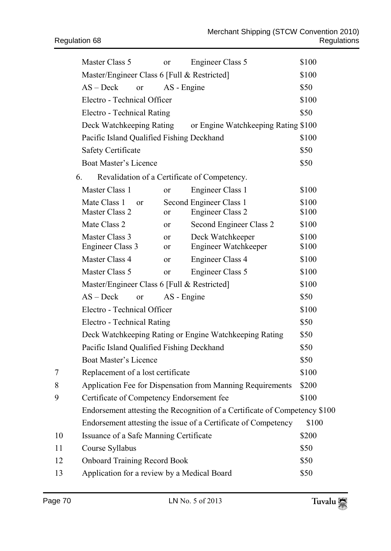|    | Master Class 5                                     | or            | Engineer Class 5                                                           | \$100          |  |  |  |
|----|----------------------------------------------------|---------------|----------------------------------------------------------------------------|----------------|--|--|--|
|    | Master/Engineer Class 6 [Full & Restricted]        |               |                                                                            | \$100          |  |  |  |
|    | $AS - Deck$<br>or                                  | AS - Engine   |                                                                            | \$50           |  |  |  |
|    | Electro - Technical Officer                        |               | \$100                                                                      |                |  |  |  |
|    | Electro - Technical Rating                         |               |                                                                            |                |  |  |  |
|    | Deck Watchkeeping Rating                           |               | or Engine Watchkeeping Rating \$100                                        |                |  |  |  |
|    | Pacific Island Qualified Fishing Deckhand          |               |                                                                            | \$100          |  |  |  |
|    | <b>Safety Certificate</b>                          |               |                                                                            | \$50           |  |  |  |
|    | <b>Boat Master's Licence</b>                       |               |                                                                            | \$50           |  |  |  |
|    | 6.<br>Revalidation of a Certificate of Competency. |               |                                                                            |                |  |  |  |
|    | Master Class 1                                     | or            | Engineer Class 1                                                           | \$100          |  |  |  |
|    | Mate Class 1<br><sub>or</sub>                      |               | Second Engineer Class 1                                                    | \$100          |  |  |  |
|    | Master Class 2                                     | or            | <b>Engineer Class 2</b>                                                    | \$100          |  |  |  |
|    | Mate Class 2                                       | 0r            | Second Engineer Class 2                                                    | \$100          |  |  |  |
|    | Master Class 3<br><b>Engineer Class 3</b>          | or<br>or      | Deck Watchkeeper<br>Engineer Watchkeeper                                   | \$100<br>\$100 |  |  |  |
|    | Master Class 4                                     | <sub>or</sub> | <b>Engineer Class 4</b>                                                    | \$100          |  |  |  |
|    | Master Class 5                                     | <sub>or</sub> | <b>Engineer Class 5</b>                                                    | \$100          |  |  |  |
|    | Master/Engineer Class 6 [Full & Restricted]        |               |                                                                            | \$100          |  |  |  |
|    | $AS - Deck$<br>or                                  | AS - Engine   |                                                                            | \$50           |  |  |  |
|    | Electro - Technical Officer                        |               |                                                                            | \$100          |  |  |  |
|    | Electro - Technical Rating                         |               |                                                                            | \$50           |  |  |  |
|    |                                                    |               | Deck Watchkeeping Rating or Engine Watchkeeping Rating                     | \$50           |  |  |  |
|    | Pacific Island Qualified Fishing Deckhand          |               |                                                                            | \$50           |  |  |  |
|    | Boat Master's Licence                              |               |                                                                            | \$50           |  |  |  |
| 7  | Replacement of a lost certificate                  |               |                                                                            | \$100          |  |  |  |
| 8  |                                                    |               | Application Fee for Dispensation from Manning Requirements                 | \$200          |  |  |  |
| 9  | Certificate of Competency Endorsement fee          |               |                                                                            | \$100          |  |  |  |
|    |                                                    |               | Endorsement attesting the Recognition of a Certificate of Competency \$100 |                |  |  |  |
|    |                                                    |               | Endorsement attesting the issue of a Certificate of Competency             | \$100          |  |  |  |
| 10 | Issuance of a Safe Manning Certificate             |               |                                                                            | \$200          |  |  |  |
| 11 | Course Syllabus                                    |               |                                                                            | \$50           |  |  |  |
| 12 | <b>Onboard Training Record Book</b>                |               |                                                                            | \$50           |  |  |  |
| 13 | Application for a review by a Medical Board        | \$50          |                                                                            |                |  |  |  |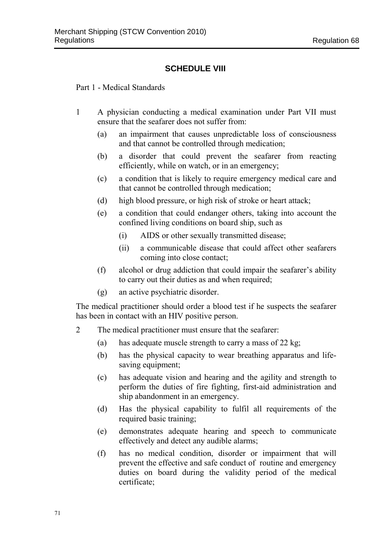## **SCHEDULE VIII**

Part 1 - Medical Standards

- 1 A physician conducting a medical examination under Part VII must ensure that the seafarer does not suffer from:
	- (a) an impairment that causes unpredictable loss of consciousness and that cannot be controlled through medication;
	- (b) a disorder that could prevent the seafarer from reacting efficiently, while on watch, or in an emergency;
	- (c) a condition that is likely to require emergency medical care and that cannot be controlled through medication;
	- (d) high blood pressure, or high risk of stroke or heart attack;
	- (e) a condition that could endanger others, taking into account the confined living conditions on board ship, such as
		- (i) AIDS or other sexually transmitted disease;
		- (ii) a communicable disease that could affect other seafarers coming into close contact;
	- (f) alcohol or drug addiction that could impair the seafarer's ability to carry out their duties as and when required;
	- (g) an active psychiatric disorder.

The medical practitioner should order a blood test if he suspects the seafarer has been in contact with an HIV positive person.

- 2 The medical practitioner must ensure that the seafarer:
	- (a) has adequate muscle strength to carry a mass of 22 kg;
	- (b) has the physical capacity to wear breathing apparatus and lifesaving equipment;
	- (c) has adequate vision and hearing and the agility and strength to perform the duties of fire fighting, first-aid administration and ship abandonment in an emergency.
	- (d) Has the physical capability to fulfil all requirements of the required basic training;
	- (e) demonstrates adequate hearing and speech to communicate effectively and detect any audible alarms;
	- (f) has no medical condition, disorder or impairment that will prevent the effective and safe conduct of routine and emergency duties on board during the validity period of the medical certificate;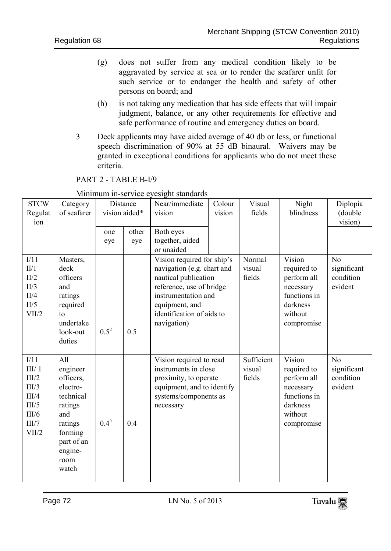- (g) does not suffer from any medical condition likely to be aggravated by service at sea or to render the seafarer unfit for such service or to endanger the health and safety of other persons on board; and
- (h) is not taking any medication that has side effects that will impair judgment, balance, or any other requirements for effective and safe performance of routine and emergency duties on board.
- 3 Deck applicants may have aided average of 40 db or less, or functional speech discrimination of 90% at 55 dB binaural. Waivers may be granted in exceptional conditions for applicants who do not meet these criteria.

PART 2 - TABLE B-I/9

| <b>STCW</b><br>Regulat<br>ion                                                | Category<br>of seafarer                                                                                                                 | Distance<br>vision aided* |              | Near/immediate<br>vision                                                                                                                                                                          | Colour<br>vision | Visual<br>fields               | Night<br>blindness                                                                                     | Diplopia<br>(double<br>vision)                        |
|------------------------------------------------------------------------------|-----------------------------------------------------------------------------------------------------------------------------------------|---------------------------|--------------|---------------------------------------------------------------------------------------------------------------------------------------------------------------------------------------------------|------------------|--------------------------------|--------------------------------------------------------------------------------------------------------|-------------------------------------------------------|
|                                                                              |                                                                                                                                         | one<br>eye                | other<br>eye | Both eyes<br>together, aided<br>or unaided                                                                                                                                                        |                  |                                |                                                                                                        |                                                       |
| I/11<br>II/1<br>II/2<br>II/3<br>II/4<br>II/5<br>VII/2                        | Masters,<br>deck<br>officers<br>and<br>ratings<br>required<br>to<br>undertake<br>look-out<br>duties                                     | $0.5^2$                   | 0.5          | Vision required for ship's<br>navigation (e.g. chart and<br>nautical publication<br>reference, use of bridge<br>instrumentation and<br>equipment, and<br>identification of aids to<br>navigation) |                  | Normal<br>visual<br>fields     | Vision<br>required to<br>perform all<br>necessary<br>functions in<br>darkness<br>without<br>compromise | N <sub>o</sub><br>significant<br>condition<br>evident |
| I/11<br>III/1<br>III/2<br>III/3<br>III/4<br>III/5<br>III/6<br>III/7<br>VII/2 | All<br>engineer<br>officers,<br>electro-<br>technical<br>ratings<br>and<br>ratings<br>forming<br>part of an<br>engine-<br>room<br>watch | $0.4^{5}$                 | 0.4          | Vision required to read<br>instruments in close<br>proximity, to operate<br>equipment, and to identify<br>systems/components as<br>necessary                                                      |                  | Sufficient<br>visual<br>fields | Vision<br>required to<br>perform all<br>necessary<br>functions in<br>darkness<br>without<br>compromise | N <sub>o</sub><br>significant<br>condition<br>evident |

Minimum in-service eyesight standards

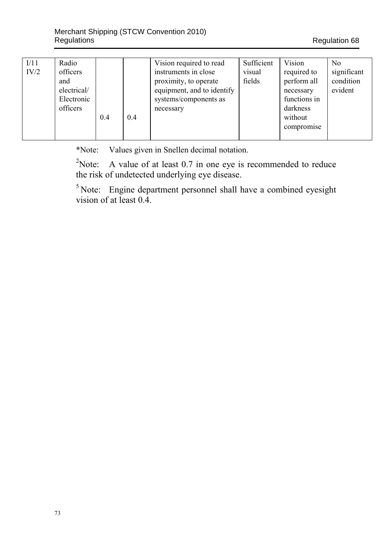| I/11 | Radio       |     |     | Vision required to read    | Sufficient | Vision       | N <sub>0</sub> |
|------|-------------|-----|-----|----------------------------|------------|--------------|----------------|
| IV/2 | officers    |     |     | instruments in close       | visual     | required to  | significant    |
|      | and         |     |     | proximity, to operate      | fields     | perform all  | condition      |
|      | electrical/ |     |     | equipment, and to identify |            | necessary    | evident        |
|      | Electronic  |     |     | systems/components as      |            | functions in |                |
|      | officers    |     |     | necessary                  |            | darkness     |                |
|      |             | 0.4 | 0.4 |                            |            | without      |                |
|      |             |     |     |                            |            | compromise   |                |
|      |             |     |     |                            |            |              |                |

\*Note: Values given in Snellen decimal notation.

 $2$ Note: A value of at least 0.7 in one eye is recommended to reduce the risk of undetected underlying eye disease.

 $5$  Note: Engine department personnel shall have a combined eyesight vision of at least 0.4.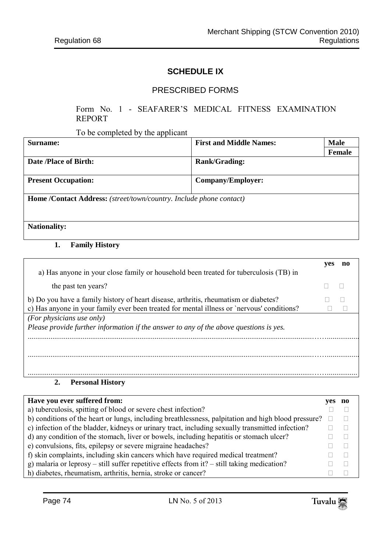### **SCHEDULE IX**

### PRESCRIBED FORMS

#### Form No. 1 - SEAFARER'S MEDICAL FITNESS EXAMINATION REPORT

To be completed by the applicant

| Surname:                                                            | <b>First and Middle Names:</b> | <b>Male</b> |
|---------------------------------------------------------------------|--------------------------------|-------------|
|                                                                     |                                | Female      |
| Date /Place of Birth:                                               | <b>Rank/Grading:</b>           |             |
| <b>Present Occupation:</b>                                          | Company/Employer:              |             |
| Home /Contact Address: (street/town/country. Include phone contact) |                                |             |
| <b>Nationality:</b>                                                 |                                |             |

#### **1. Family History**

|                                                                                            | ves | no |
|--------------------------------------------------------------------------------------------|-----|----|
| a) Has anyone in your close family or household been treated for tuberculosis (TB) in      |     |    |
| the past ten years?                                                                        |     |    |
| b) Do you have a family history of heart disease, arthritis, rheumatism or diabetes?       |     |    |
| c) Has anyone in your family ever been treated for mental illness or 'nervous' conditions? |     |    |
| (For physicians use only)                                                                  |     |    |
| Please provide further information if the answer to any of the above questions is yes.     |     |    |
|                                                                                            |     |    |
|                                                                                            |     |    |
|                                                                                            |     |    |
|                                                                                            |     |    |
|                                                                                            |     |    |
| Dennes al III-lean<br>$\rightarrow$                                                        |     |    |

#### **2. Personal History**

| Have you ever suffered from:                                                                        | ves | no n |
|-----------------------------------------------------------------------------------------------------|-----|------|
| a) tuberculosis, spitting of blood or severe chest infection?                                       |     |      |
| b) conditions of the heart or lungs, including breathlessness, palpitation and high blood pressure? |     |      |
| c) infection of the bladder, kidneys or urinary tract, including sexually transmitted infection?    |     |      |
| d) any condition of the stomach, liver or bowels, including hepatitis or stomach ulcer?             |     |      |
| e) convulsions, fits, epilepsy or severe migraine headaches?                                        |     |      |
| f) skin complaints, including skin cancers which have required medical treatment?                   |     |      |
| g) malaria or leprosy – still suffer repetitive effects from it? – still taking medication?         |     |      |
| h) diabetes, rheumatism, arthritis, hernia, stroke or cancer?                                       |     |      |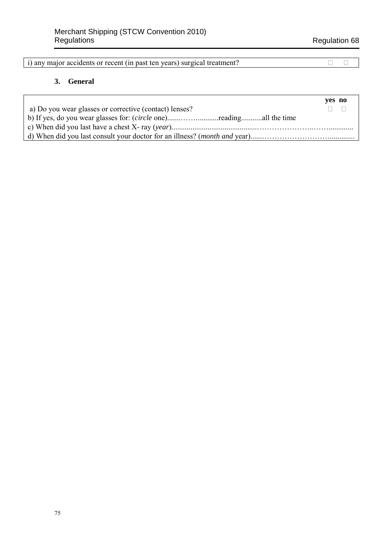i) any major accidents or recent (in past ten years) surgical treatment?

#### **3. General**

|                                                                     | yes no |
|---------------------------------------------------------------------|--------|
| a) Do you wear glasses or corrective (contact) lenses?              |        |
| b) If yes, do you wear glasses for: (circle one)readingall the time |        |
|                                                                     |        |
|                                                                     |        |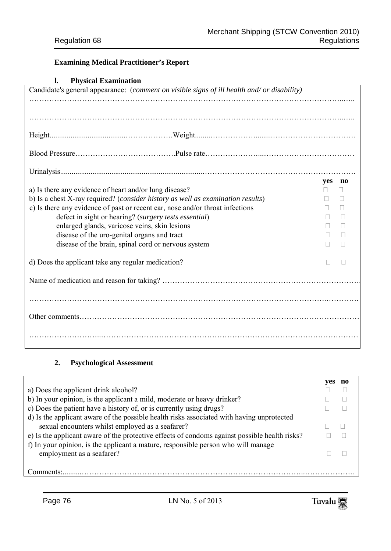## **Examining Medical Practitioner's Report**

#### **l. Physical Examination**

| Candidate's general appearance: (comment on visible signs of ill health and/ or disability) |     |              |  |  |
|---------------------------------------------------------------------------------------------|-----|--------------|--|--|
|                                                                                             |     |              |  |  |
|                                                                                             |     |              |  |  |
|                                                                                             |     |              |  |  |
|                                                                                             |     |              |  |  |
|                                                                                             |     |              |  |  |
|                                                                                             |     |              |  |  |
|                                                                                             | yes | no           |  |  |
| a) Is there any evidence of heart and/or lung disease?                                      |     | Н            |  |  |
| b) Is a chest X-ray required? (consider history as well as examination results)             |     | $\mathbf{L}$ |  |  |
| c) Is there any evidence of past or recent ear, nose and/or throat infections               |     | П            |  |  |
| defect in sight or hearing? (surgery tests essential)                                       |     | $\Box$       |  |  |
| enlarged glands, varicose veins, skin lesions                                               |     | $\Box$       |  |  |
| disease of the uro-genital organs and tract                                                 |     | П            |  |  |
| disease of the brain, spinal cord or nervous system                                         | П   | П            |  |  |
|                                                                                             |     |              |  |  |
| d) Does the applicant take any regular medication?                                          |     |              |  |  |
|                                                                                             |     |              |  |  |
|                                                                                             |     |              |  |  |
|                                                                                             |     |              |  |  |
|                                                                                             |     |              |  |  |
|                                                                                             |     |              |  |  |
|                                                                                             |     |              |  |  |
|                                                                                             |     |              |  |  |
|                                                                                             |     |              |  |  |

# **2. Psychological Assessment**

| a) Does the applicant drink alcohol?                                                          |  |
|-----------------------------------------------------------------------------------------------|--|
| b) In your opinion, is the applicant a mild, moderate or heavy drinker?                       |  |
| c) Does the patient have a history of, or is currently using drugs?                           |  |
| d) Is the applicant aware of the possible health risks associated with having unprotected     |  |
| sexual encounters whilst employed as a seafarer?                                              |  |
| e) Is the applicant aware of the protective effects of condoms against possible health risks? |  |
| f) In your opinion, is the applicant a mature, responsible person who will manage             |  |
| employment as a seafarer?                                                                     |  |
|                                                                                               |  |
| nmments <sup>.</sup>                                                                          |  |

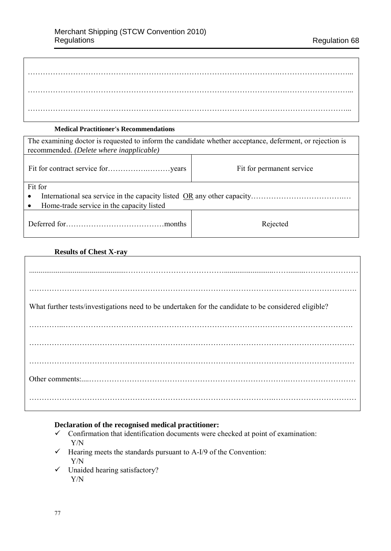| . |
|---|
| . |
|   |

#### **Medical Practitioner's Recommendations**

| The examining doctor is requested to inform the candidate whether acceptance, deferment, or rejection is<br>recommended. (Delete where inapplicable) |                           |  |  |  |
|------------------------------------------------------------------------------------------------------------------------------------------------------|---------------------------|--|--|--|
|                                                                                                                                                      | Fit for permanent service |  |  |  |
| Fit for                                                                                                                                              |                           |  |  |  |
| $\bullet$                                                                                                                                            |                           |  |  |  |
| Home-trade service in the capacity listed<br>$\bullet$                                                                                               |                           |  |  |  |
|                                                                                                                                                      | Rejected                  |  |  |  |

### **Results of Chest X-ray**

Г

| What further tests/investigations need to be undertaken for the candidate to be considered eligible? |
|------------------------------------------------------------------------------------------------------|
|                                                                                                      |
|                                                                                                      |
|                                                                                                      |
|                                                                                                      |
|                                                                                                      |

## **Declaration of the recognised medical practitioner:**

- $\checkmark$  Confirmation that identification documents were checked at point of examination: Y/N
- $\checkmark$  Hearing meets the standards pursuant to A-I/9 of the Convention: Y/N
- $\checkmark$  Unaided hearing satisfactory? Y/N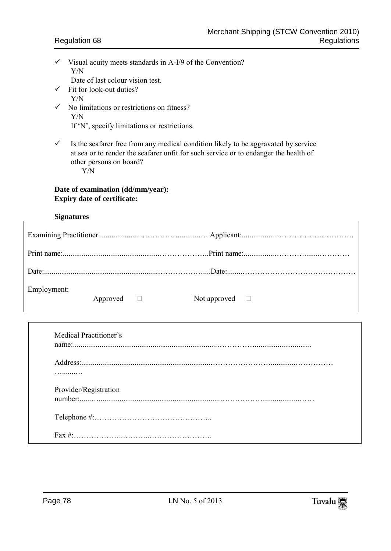- $\checkmark$  Visual acuity meets standards in A-I/9 of the Convention? Y/N
	- Date of last colour vision test.
- $\checkmark$  Fit for look-out duties? Y/N
- $\checkmark$  No limitations or restrictions on fitness? Y/N
	- If 'N', specify limitations or restrictions.
- $\checkmark$  Is the seafarer free from any medical condition likely to be aggravated by service at sea or to render the seafarer unfit for such service or to endanger the health of other persons on board?
	- Y/N

## **Date of examination (dd/mm/year): Expiry date of certificate:**

### **Signatures**

| Employment: | Approved $\Box$ | Not approved $\Box$ |  |
|-------------|-----------------|---------------------|--|

| Medical Practitioner's |
|------------------------|
|                        |
|                        |
| .                      |
| Provider/Registration  |
|                        |
|                        |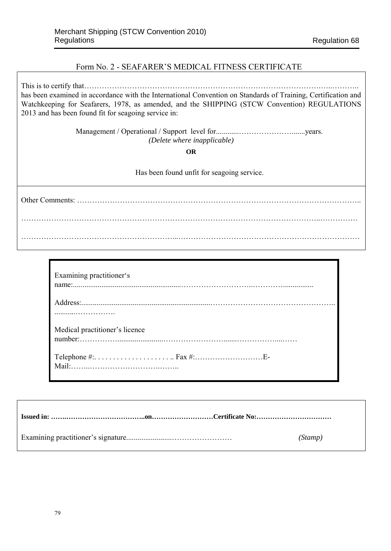### Form No. 2 - SEAFARER'S MEDICAL FITNESS CERTIFICATE

This is to certify that………………………………………………………………………………….…..……….. has been examined in accordance with the International Convention on Standards of Training, Certification and Watchkeeping for Seafarers, 1978, as amended, and the SHIPPING (STCW Convention) REGULATIONS 2013 and has been found fit for seagoing service in:

> Management / Operational / Support level for............………………….......years. *(Delete where inapplicable)*

> > **OR**

Has been found unfit for seagoing service.

Other Comments: ………………………………………………………………………………………………….. ………………………………………………………………………………………………………..…………… ……………………………………………………...………………………………………………………………

| Examining practitioner's       |
|--------------------------------|
|                                |
| Medical practitioner's licence |
|                                |

| (Stamp) |
|---------|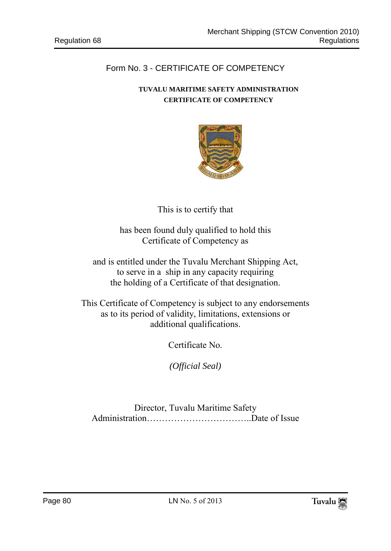# Form No. 3 - CERTIFICATE OF COMPETENCY

# **TUVALU MARITIME SAFETY ADMINISTRATION CERTIFICATE OF COMPETENCY**



This is to certify that

has been found duly qualified to hold this Certificate of Competency as

and is entitled under the Tuvalu Merchant Shipping Act, to serve in a ship in any capacity requiring the holding of a Certificate of that designation.

This Certificate of Competency is subject to any endorsements as to its period of validity, limitations, extensions or additional qualifications.

Certificate No.

*(Official Seal)*

Director, Tuvalu Maritime Safety Administration……………………………..Date of Issue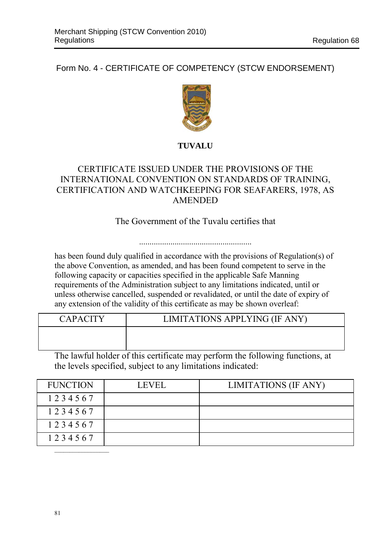Form No. 4 - CERTIFICATE OF COMPETENCY (STCW ENDORSEMENT)



# **TUVALU**

# CERTIFICATE ISSUED UNDER THE PROVISIONS OF THE INTERNATIONAL CONVENTION ON STANDARDS OF TRAINING, CERTIFICATION AND WATCHKEEPING FOR SEAFARERS, 1978, AS AMENDED

# The Government of the Tuvalu certifies that

has been found duly qualified in accordance with the provisions of Regulation(s) of the above Convention, as amended, and has been found competent to serve in the following capacity or capacities specified in the applicable Safe Manning requirements of the Administration subject to any limitations indicated, until or unless otherwise cancelled, suspended or revalidated, or until the date of expiry of any extension of the validity of this certificate as may be shown overleaf:

| <b>CAPACITY</b> | LIMITATIONS APPLYING (IF ANY) |
|-----------------|-------------------------------|
|                 |                               |
|                 |                               |

The lawful holder of this certificate may perform the following functions, at the levels specified, subject to any limitations indicated:

| <b>FUNCTION</b> | <b>LEVEL</b> | LIMITATIONS (IF ANY) |
|-----------------|--------------|----------------------|
| 1234567         |              |                      |
| 1234567         |              |                      |
| 1234567         |              |                      |
| 1234567         |              |                      |
|                 |              |                      |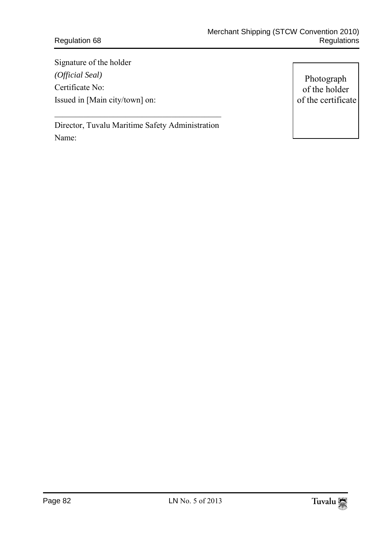# Regulation 68

Signature of the holder *(Official Seal)* Certificate No: Issued in [Main city/town] on:

Photograph of the holder of the certificate

Director, Tuvalu Maritime Safety Administration Name:

 $\frac{1}{2}$  ,  $\frac{1}{2}$  ,  $\frac{1}{2}$  ,  $\frac{1}{2}$  ,  $\frac{1}{2}$  ,  $\frac{1}{2}$  ,  $\frac{1}{2}$  ,  $\frac{1}{2}$  ,  $\frac{1}{2}$  ,  $\frac{1}{2}$  ,  $\frac{1}{2}$  ,  $\frac{1}{2}$  ,  $\frac{1}{2}$  ,  $\frac{1}{2}$  ,  $\frac{1}{2}$  ,  $\frac{1}{2}$  ,  $\frac{1}{2}$  ,  $\frac{1}{2}$  ,  $\frac{1$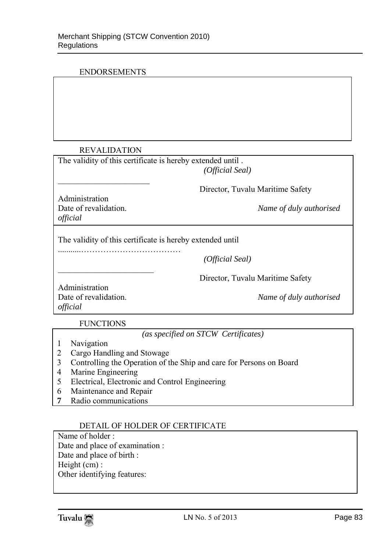## ENDORSEMENTS

## REVALIDATION

 $\frac{1}{2}$  ,  $\frac{1}{2}$  ,  $\frac{1}{2}$  ,  $\frac{1}{2}$  ,  $\frac{1}{2}$  ,  $\frac{1}{2}$  ,  $\frac{1}{2}$  ,  $\frac{1}{2}$  ,  $\frac{1}{2}$  ,  $\frac{1}{2}$  ,  $\frac{1}{2}$  ,  $\frac{1}{2}$  ,  $\frac{1}{2}$  ,  $\frac{1}{2}$  ,  $\frac{1}{2}$  ,  $\frac{1}{2}$  ,  $\frac{1}{2}$  ,  $\frac{1}{2}$  ,  $\frac{1$ 

| The validity of this certificate is hereby extended until. |  |
|------------------------------------------------------------|--|
|                                                            |  |

| (Official Seal) |
|-----------------|
|-----------------|

Director, Tuvalu Maritime Safety

Administration<br>Date of revalidation *official*

Name of duly authorised

The validity of this certificate is hereby extended until

 *(Official Seal)*

Director, Tuvalu Maritime Safety

Administration *official*

Date of revalidation. *Name of duly authorised* 

FUNCTIONS

 $\frac{1}{2}$  ,  $\frac{1}{2}$  ,  $\frac{1}{2}$  ,  $\frac{1}{2}$  ,  $\frac{1}{2}$  ,  $\frac{1}{2}$  ,  $\frac{1}{2}$  ,  $\frac{1}{2}$  ,  $\frac{1}{2}$  ,  $\frac{1}{2}$  ,  $\frac{1}{2}$  ,  $\frac{1}{2}$  ,  $\frac{1}{2}$  ,  $\frac{1}{2}$  ,  $\frac{1}{2}$  ,  $\frac{1}{2}$  ,  $\frac{1}{2}$  ,  $\frac{1}{2}$  ,  $\frac{1$ 

*(as specified on STCW Certificates)*

- 1 Navigation
- 2 Cargo Handling and Stowage

...........………………………………

- 3 Controlling the Operation of the Ship and care for Persons on Board
- 4 Marine Engineering
- 5 Electrical, Electronic and Control Engineering
- 6 Maintenance and Repair
- **7** Radio communications

## DETAIL OF HOLDER OF CERTIFICATE

Name of holder : Date and place of examination : Date and place of birth : Height (cm) : Other identifying features:

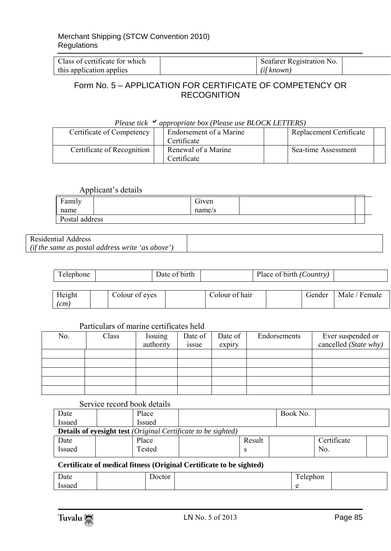| Class of certificate for which | Seafarer Registration No. |  |
|--------------------------------|---------------------------|--|
| this application applies       | (if known)                |  |

# Form No. 5 – APPLICATION FOR CERTIFICATE OF COMPETENCY OR RECOGNITION

| Please tick "<br>appropriate box (Please use BLOCK LETTERS) |                         |                                    |  |                         |  |  |  |  |
|-------------------------------------------------------------|-------------------------|------------------------------------|--|-------------------------|--|--|--|--|
| Certificate of Competency                                   | Endorsement of a Marine |                                    |  | Replacement Certificate |  |  |  |  |
|                                                             |                         | Certificate                        |  |                         |  |  |  |  |
| Certificate of Recognition                                  |                         | Renewal of a Marine<br>Certificate |  | Sea-time Assessment     |  |  |  |  |

#### *Please tick appropriate box (Please use BLOCK LETTERS)*

#### Applicant's details

| . .                    |                 |  |  |
|------------------------|-----------------|--|--|
| Family<br>$\mathbf{r}$ | $\sim$<br>Given |  |  |
| name                   | name/s          |  |  |
| Postal address         |                 |  |  |

#### Residential Address *(if the same as postal address write 'as above')*

| Telephone                    |  |                | Date of birth |                | Place of birth (Country) |        |               |
|------------------------------|--|----------------|---------------|----------------|--------------------------|--------|---------------|
| Height<br>$\left( cm\right)$ |  | Colour of eyes |               | Colour of hair |                          | Gender | Male / Female |

## Particulars of marine certificates held

| No. | Class | Issuing<br>authority | Date of<br>issue | Date of<br>expiry | Endorsements | Ever suspended or<br>cancelled (State why) |
|-----|-------|----------------------|------------------|-------------------|--------------|--------------------------------------------|
|     |       |                      |                  |                   |              |                                            |
|     |       |                      |                  |                   |              |                                            |
|     |       |                      |                  |                   |              |                                            |
|     |       |                      |                  |                   |              |                                            |
|     |       |                      |                  |                   |              |                                            |

## Service record book details

| Date                                                                        | Place  |  |        | Book No. |             |  |  |  |
|-----------------------------------------------------------------------------|--------|--|--------|----------|-------------|--|--|--|
| <b>Issued</b>                                                               | Issued |  |        |          |             |  |  |  |
| <b>Details of eyesight test</b> <i>(Original Certificate to be sighted)</i> |        |  |        |          |             |  |  |  |
| Date                                                                        | Place  |  | Result |          | Certificate |  |  |  |
| Issued                                                                      | Tested |  |        |          | No.         |  |  |  |

### **Certificate of medical fitness (Original Certificate to be sighted)**

| $\overline{\phantom{0}}$<br>Date | Joctor | $\mathbf{r}$<br>ephon |  |
|----------------------------------|--------|-----------------------|--|
| 'ssued                           |        |                       |  |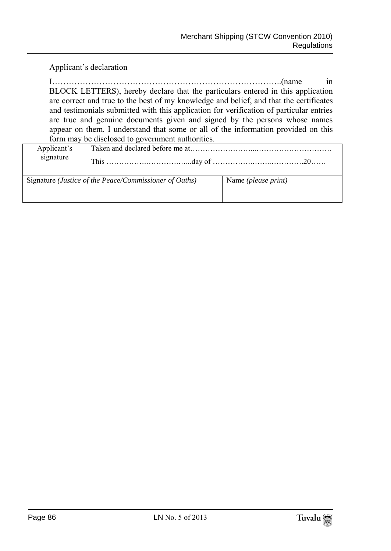Applicant's declaration

I………………………………………………………………………..(name in BLOCK LETTERS), hereby declare that the particulars entered in this application are correct and true to the best of my knowledge and belief, and that the certificates and testimonials submitted with this application for verification of particular entries are true and genuine documents given and signed by the persons whose names appear on them. I understand that some or all of the information provided on this form may be disclosed to government authorities.

| Applicant's |                                                                 |                              |  |  |  |  |  |  |
|-------------|-----------------------------------------------------------------|------------------------------|--|--|--|--|--|--|
| signature   |                                                                 |                              |  |  |  |  |  |  |
|             |                                                                 |                              |  |  |  |  |  |  |
|             | Signature ( <i>Justice of the Peace/Commissioner of Oaths</i> ) | Name ( <i>please print</i> ) |  |  |  |  |  |  |
|             |                                                                 |                              |  |  |  |  |  |  |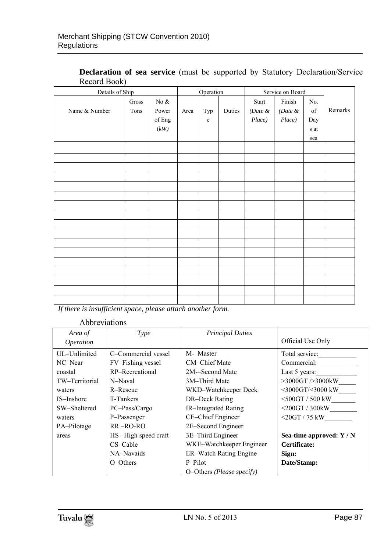| Details of Ship |       |                   |      | Operation            |        |            | Service on Board |      |         |
|-----------------|-------|-------------------|------|----------------------|--------|------------|------------------|------|---------|
|                 | Gross | No $\&$           |      |                      |        | Start      | Finish           | No.  |         |
| Name & Number   | Tons  | Power             | Area | $\operatorname{Typ}$ | Duties | (Date $\&$ | (Date $\&$       | of   | Remarks |
|                 |       | of ${\rm Eng}$    |      | $\mathbf e$          |        | Place)     | Place)           | Day  |         |
|                 |       | $\left(kW\right)$ |      |                      |        |            |                  | s at |         |
|                 |       |                   |      |                      |        |            |                  | sea  |         |
|                 |       |                   |      |                      |        |            |                  |      |         |
|                 |       |                   |      |                      |        |            |                  |      |         |
|                 |       |                   |      |                      |        |            |                  |      |         |
|                 |       |                   |      |                      |        |            |                  |      |         |
|                 |       |                   |      |                      |        |            |                  |      |         |
|                 |       |                   |      |                      |        |            |                  |      |         |
|                 |       |                   |      |                      |        |            |                  |      |         |
|                 |       |                   |      |                      |        |            |                  |      |         |
|                 |       |                   |      |                      |        |            |                  |      |         |
|                 |       |                   |      |                      |        |            |                  |      |         |
|                 |       |                   |      |                      |        |            |                  |      |         |
|                 |       |                   |      |                      |        |            |                  |      |         |
|                 |       |                   |      |                      |        |            |                  |      |         |
|                 |       |                   |      |                      |        |            |                  |      |         |
|                 |       |                   |      |                      |        |            |                  |      |         |
|                 |       |                   |      |                      |        |            |                  |      |         |
|                 |       |                   |      |                      |        |            |                  |      |         |

## **Declaration of sea service** (must be supported by Statutory Declaration/Service Record Book)

*If there is insufficient space, please attach another form.*

### Abbreviations

| Area of<br><i>Operation</i> | Type                | <b>Principal Duties</b>   | Official Use Only        |
|-----------------------------|---------------------|---------------------------|--------------------------|
| UL-Unlimited                | C-Commercial vessel | M--Master                 | Total service:           |
| NC-Near                     | FV-Fishing vessel   | CM-Chief Mate             | Commercial:              |
| coastal                     | RP-Recreational     | 2M-Second Mate            | Last 5 years:            |
| TW-Territorial              | N-Naval             | 3M-Third Mate             | $>3000$ GT $>3000$ kW    |
| waters                      | R-Rescue            | WKD-Watchkeeper Deck      | <3000GT/<3000 kW         |
| IS-Inshore                  | T-Tankers           | DR-Deck Rating            | $<$ 500GT / 500 kW       |
| SW-Sheltered                | PC-Pass/Cargo       | IR-Integrated Rating      | $<$ 200GT / 300kW        |
| waters                      | P-Passenger         | CE-Chief Engineer         | $<$ 20GT / 75 kW         |
| PA-Pilotage                 | $RR - RO-RO$        | 2E-Second Engineer        |                          |
| areas                       | HS-High speed craft | 3E-Third Engineer         | Sea-time approved: $Y/N$ |
|                             | CS-Cable            | WKE-Watchkeeper Engineer  | Certificate:             |
|                             | NA-Navaids          | ER-Watch Rating Engine    | Sign:                    |
|                             | O-Others            | P-Pilot                   | Date/Stamp:              |
|                             |                     | O-Others (Please specify) |                          |

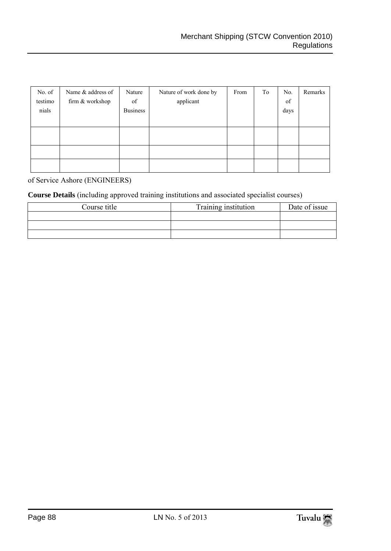| No. of<br>testimo<br>nials | Name & address of<br>firm & workshop | Nature<br>of<br><b>Business</b> | Nature of work done by<br>applicant | From | To | No.<br>of<br>days | Remarks |
|----------------------------|--------------------------------------|---------------------------------|-------------------------------------|------|----|-------------------|---------|
|                            |                                      |                                 |                                     |      |    |                   |         |
|                            |                                      |                                 |                                     |      |    |                   |         |
|                            |                                      |                                 |                                     |      |    |                   |         |

of Service Ashore (ENGINEERS)

## **Course Details** (including approved training institutions and associated specialist courses)

| Course title | Training institution | Date of issue |
|--------------|----------------------|---------------|
|              |                      |               |
|              |                      |               |
|              |                      |               |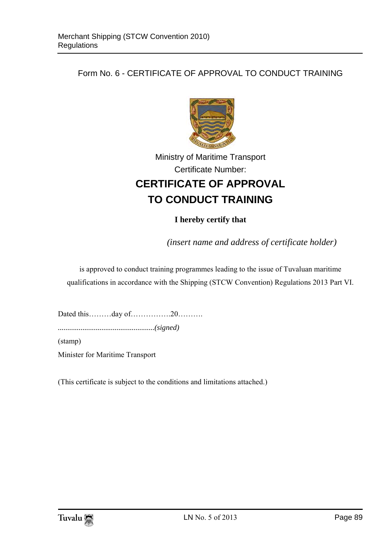# Form No. 6 - CERTIFICATE OF APPROVAL TO CONDUCT TRAINING



# Ministry of Maritime Transport Certificate Number: **CERTIFICATE OF APPROVAL TO CONDUCT TRAINING**

# **I hereby certify that**

*(insert name and address of certificate holder)* 

is approved to conduct training programmes leading to the issue of Tuvaluan maritime qualifications in accordance with the Shipping (STCW Convention) Regulations 2013 Part VI.

Dated this………day of…………….20……….

*...................................................(signed)*

(stamp)

Minister for Maritime Transport

(This certificate is subject to the conditions and limitations attached.)

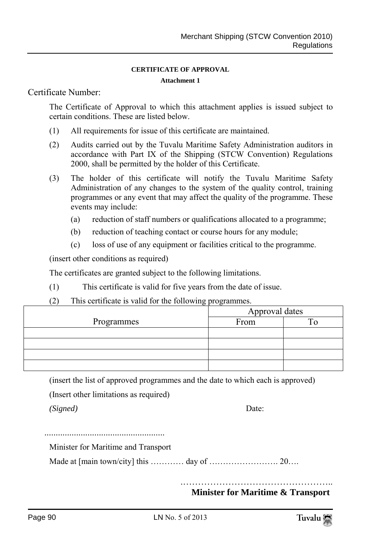#### **CERTIFICATE OF APPROVAL**

#### **Attachment 1**

## Certificate Number:

The Certificate of Approval to which this attachment applies is issued subject to certain conditions. These are listed below.

- (1) All requirements for issue of this certificate are maintained.
- (2) Audits carried out by the Tuvalu Maritime Safety Administration auditors in accordance with Part IX of the Shipping (STCW Convention) Regulations 2000, shall be permitted by the holder of this Certificate.
- (3) The holder of this certificate will notify the Tuvalu Maritime Safety Administration of any changes to the system of the quality control, training programmes or any event that may affect the quality of the programme. These events may include:
	- (a) reduction of staff numbers or qualifications allocated to a programme;
	- (b) reduction of teaching contact or course hours for any module;
	- (c) loss of use of any equipment or facilities critical to the programme.

(insert other conditions as required)

The certificates are granted subject to the following limitations.

(1) This certificate is valid for five years from the date of issue.

### (2) This certificate is valid for the following programmes.

|            | Approval dates |  |
|------------|----------------|--|
| Programmes | From           |  |
|            |                |  |
|            |                |  |
|            |                |  |
|            |                |  |

(insert the list of approved programmes and the date to which each is approved)

(Insert other limitations as required)

*(Signed)* Date:

.....................................................

Minister for Maritime and Transport

Made at [main town/city] this ………… day of ……………………. 20….

.………………………………………….. **Minister for Maritime & Transport**